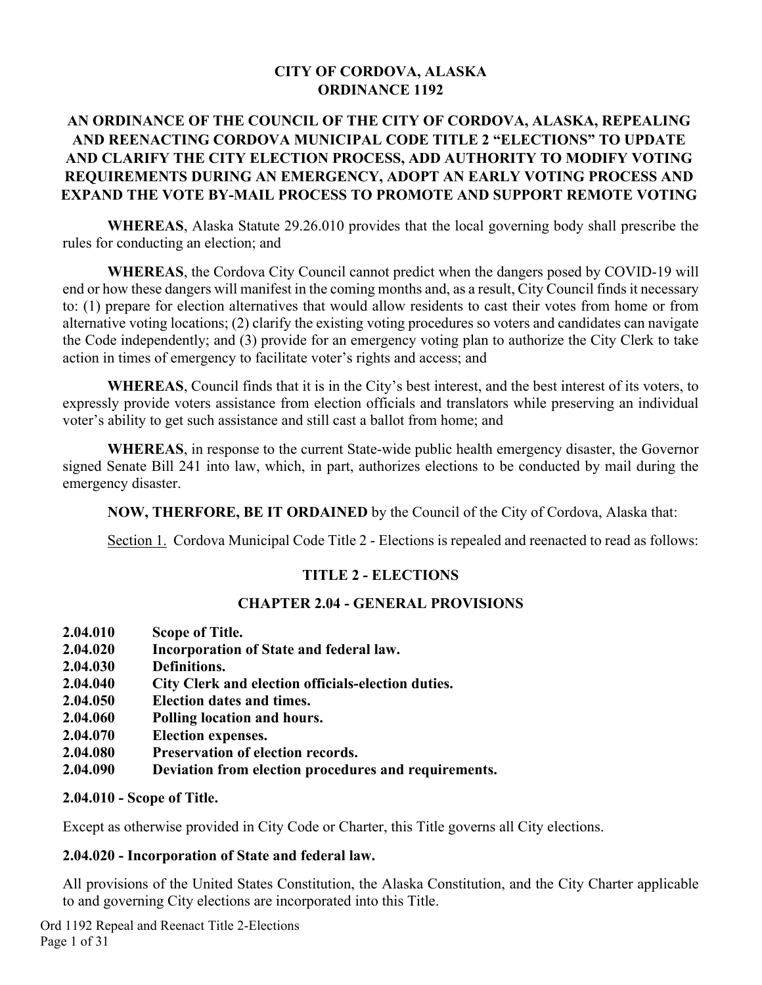#### **CITY OF CORDOVA, ALASKA ORDINANCE 1192**

### **AN ORDINANCE OF THE COUNCIL OF THE CITY OF CORDOVA, ALASKA, REPEALING AND REENACTING CORDOVA MUNICIPAL CODE TITLE 2 "ELECTIONS" TO UPDATE AND CLARIFY THE CITY ELECTION PROCESS, ADD AUTHORITY TO MODIFY VOTING REQUIREMENTS DURING AN EMERGENCY, ADOPT AN EARLY VOTING PROCESS AND EXPAND THE VOTE BY-MAIL PROCESS TO PROMOTE AND SUPPORT REMOTE VOTING**

**WHEREAS**, Alaska Statute 29.26.010 provides that the local governing body shall prescribe the rules for conducting an election; and

**WHEREAS**, the Cordova City Council cannot predict when the dangers posed by COVID-19 will end or how these dangers will manifest in the coming months and, as a result, City Council finds it necessary to: (1) prepare for election alternatives that would allow residents to cast their votes from home or from alternative voting locations; (2) clarify the existing voting procedures so voters and candidates can navigate the Code independently; and (3) provide for an emergency voting plan to authorize the City Clerk to take action in times of emergency to facilitate voter's rights and access; and

**WHEREAS**, Council finds that it is in the City's best interest, and the best interest of its voters, to expressly provide voters assistance from election officials and translators while preserving an individual voter's ability to get such assistance and still cast a ballot from home; and

**WHEREAS**, in response to the current State-wide public health emergency disaster, the Governor signed Senate Bill 241 into law, which, in part, authorizes elections to be conducted by mail during the emergency disaster.

**NOW, THERFORE, BE IT ORDAINED** by the Council of the City of Cordova, Alaska that:

Section 1. Cordova Municipal Code Title 2 - Elections is repealed and reenacted to read as follows:

#### **TITLE 2 - ELECTIONS**

#### **CHAPTER 2.04 - GENERAL PROVISIONS**

- **2.04.010 Scope of Title.**
- **2.04.020 Incorporation of State and federal law.**
- **2.04.030 Definitions.**
- **2.04.040 City Clerk and election officials-election duties.**
- **2.04.050 Election dates and times.**
- **2.04.060 Polling location and hours.**
- **2.04.070 Election expenses.**
- **2.04.080 Preservation of election records.**
- **2.04.090 Deviation from election procedures and requirements.**

#### **2.04.010 - Scope of Title.**

Except as otherwise provided in City Code or Charter, this Title governs all City elections.

#### **2.04.020 - Incorporation of State and federal law.**

All provisions of the United States Constitution, the Alaska Constitution, and the City Charter applicable to and governing City elections are incorporated into this Title.

Ord 1192 Repeal and Reenact Title 2-Elections Page 1 of 31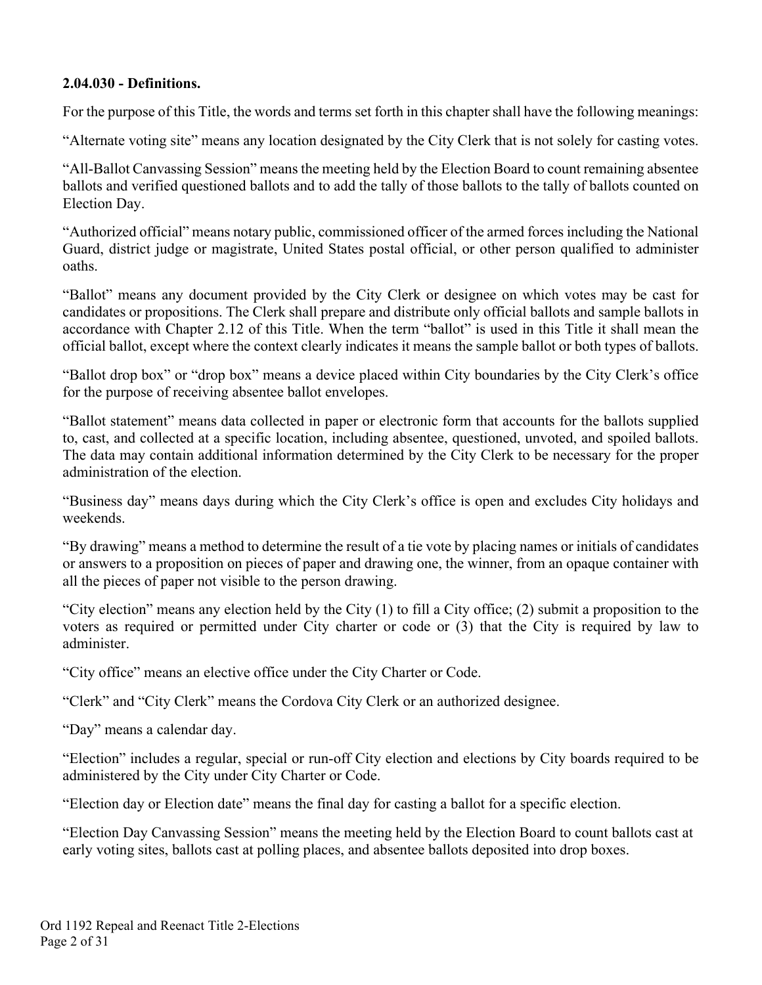#### **2.04.030 - Definitions.**

For the purpose of this Title, the words and terms set forth in this chapter shall have the following meanings:

"Alternate voting site" means any location designated by the City Clerk that is not solely for casting votes.

"All-Ballot Canvassing Session" means the meeting held by the Election Board to count remaining absentee ballots and verified questioned ballots and to add the tally of those ballots to the tally of ballots counted on Election Day.

"Authorized official" means notary public, commissioned officer of the armed forces including the National Guard, district judge or magistrate, United States postal official, or other person qualified to administer oaths.

"Ballot" means any document provided by the City Clerk or designee on which votes may be cast for candidates or propositions. The Clerk shall prepare and distribute only official ballots and sample ballots in accordance with Chapter 2.12 of this Title. When the term "ballot" is used in this Title it shall mean the official ballot, except where the context clearly indicates it means the sample ballot or both types of ballots.

"Ballot drop box" or "drop box" means a device placed within City boundaries by the City Clerk's office for the purpose of receiving absentee ballot envelopes.

"Ballot statement" means data collected in paper or electronic form that accounts for the ballots supplied to, cast, and collected at a specific location, including absentee, questioned, unvoted, and spoiled ballots. The data may contain additional information determined by the City Clerk to be necessary for the proper administration of the election.

"Business day" means days during which the City Clerk's office is open and excludes City holidays and weekends.

"By drawing" means a method to determine the result of a tie vote by placing names or initials of candidates or answers to a proposition on pieces of paper and drawing one, the winner, from an opaque container with all the pieces of paper not visible to the person drawing.

"City election" means any election held by the City (1) to fill a City office; (2) submit a proposition to the voters as required or permitted under City charter or code or (3) that the City is required by law to administer.

"City office" means an elective office under the City Charter or Code.

"Clerk" and "City Clerk" means the Cordova City Clerk or an authorized designee.

"Day" means a calendar day.

"Election" includes a regular, special or run-off City election and elections by City boards required to be administered by the City under City Charter or Code.

"Election day or Election date" means the final day for casting a ballot for a specific election.

"Election Day Canvassing Session" means the meeting held by the Election Board to count ballots cast at early voting sites, ballots cast at polling places, and absentee ballots deposited into drop boxes.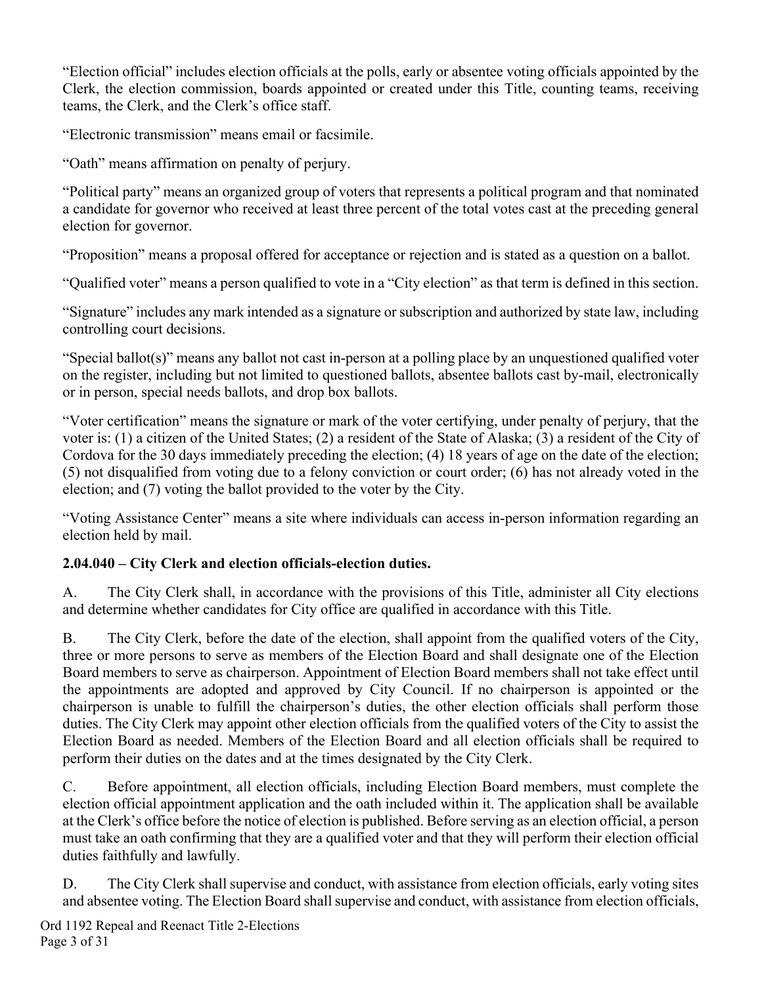"Election official" includes election officials at the polls, early or absentee voting officials appointed by the Clerk, the election commission, boards appointed or created under this Title, counting teams, receiving teams, the Clerk, and the Clerk's office staff.

"Electronic transmission" means email or facsimile.

"Oath" means affirmation on penalty of perjury.

"Political party" means an organized group of voters that represents a political program and that nominated a candidate for governor who received at least three percent of the total votes cast at the preceding general election for governor.

"Proposition" means a proposal offered for acceptance or rejection and is stated as a question on a ballot.

"Qualified voter" means a person qualified to vote in a "City election" as that term is defined in this section.

"Signature" includes any mark intended as a signature or subscription and authorized by state law, including controlling court decisions.

"Special ballot(s)" means any ballot not cast in-person at a polling place by an unquestioned qualified voter on the register, including but not limited to questioned ballots, absentee ballots cast by-mail, electronically or in person, special needs ballots, and drop box ballots.

"Voter certification" means the signature or mark of the voter certifying, under penalty of perjury, that the voter is: (1) a citizen of the United States; (2) a resident of the State of Alaska; (3) a resident of the City of Cordova for the 30 days immediately preceding the election; (4) 18 years of age on the date of the election; (5) not disqualified from voting due to a felony conviction or court order; (6) has not already voted in the election; and (7) voting the ballot provided to the voter by the City.

"Voting Assistance Center" means a site where individuals can access in-person information regarding an election held by mail.

## **2.04.040 – City Clerk and election officials-election duties.**

A. The City Clerk shall, in accordance with the provisions of this Title, administer all City elections and determine whether candidates for City office are qualified in accordance with this Title.

B. The City Clerk, before the date of the election, shall appoint from the qualified voters of the City, three or more persons to serve as members of the Election Board and shall designate one of the Election Board members to serve as chairperson. Appointment of Election Board members shall not take effect until the appointments are adopted and approved by City Council. If no chairperson is appointed or the chairperson is unable to fulfill the chairperson's duties, the other election officials shall perform those duties. The City Clerk may appoint other election officials from the qualified voters of the City to assist the Election Board as needed. Members of the Election Board and all election officials shall be required to perform their duties on the dates and at the times designated by the City Clerk.

C. Before appointment, all election officials, including Election Board members, must complete the election official appointment application and the oath included within it. The application shall be available at the Clerk's office before the notice of election is published. Before serving as an election official, a person must take an oath confirming that they are a qualified voter and that they will perform their election official duties faithfully and lawfully.

D. The City Clerk shall supervise and conduct, with assistance from election officials, early voting sites and absentee voting. The Election Board shall supervise and conduct, with assistance from election officials,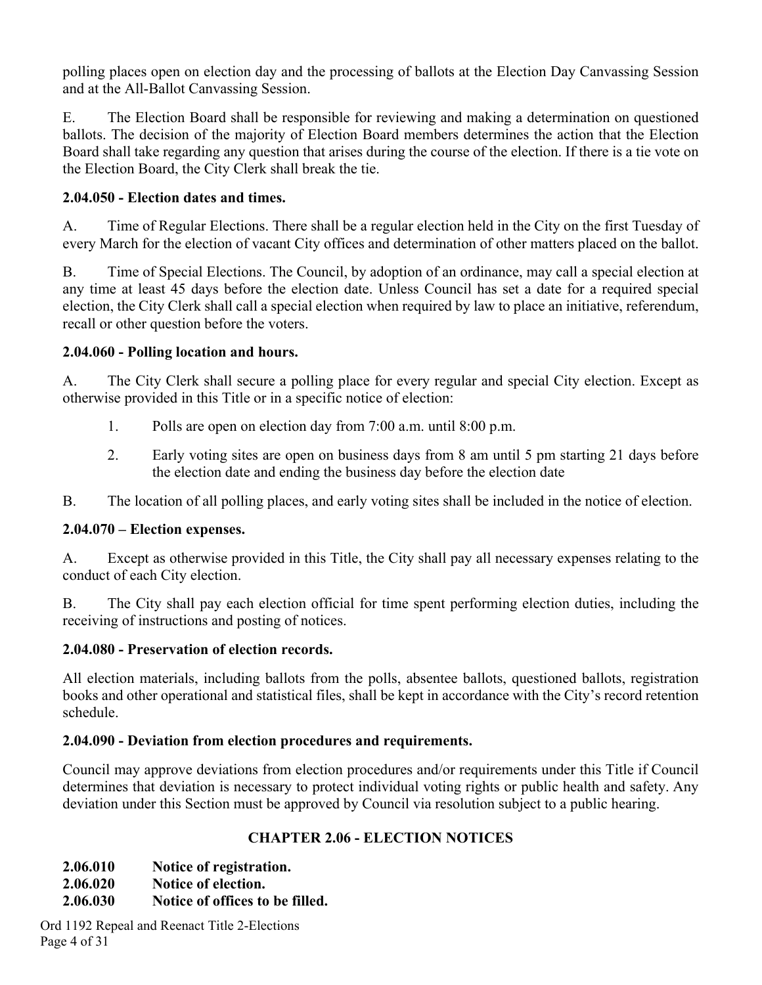polling places open on election day and the processing of ballots at the Election Day Canvassing Session and at the All-Ballot Canvassing Session.

E. The Election Board shall be responsible for reviewing and making a determination on questioned ballots. The decision of the majority of Election Board members determines the action that the Election Board shall take regarding any question that arises during the course of the election. If there is a tie vote on the Election Board, the City Clerk shall break the tie.

#### **2.04.050 - Election dates and times.**

A. Time of Regular Elections. There shall be a regular election held in the City on the first Tuesday of every March for the election of vacant City offices and determination of other matters placed on the ballot.

B. Time of Special Elections. The Council, by adoption of an ordinance, may call a special election at any time at least 45 days before the election date. Unless Council has set a date for a required special election, the City Clerk shall call a special election when required by law to place an initiative, referendum, recall or other question before the voters.

#### **2.04.060 - Polling location and hours.**

A. The City Clerk shall secure a polling place for every regular and special City election. Except as otherwise provided in this Title or in a specific notice of election:

- 1. Polls are open on election day from 7:00 a.m. until 8:00 p.m.
- 2. Early voting sites are open on business days from 8 am until 5 pm starting 21 days before the election date and ending the business day before the election date

B. The location of all polling places, and early voting sites shall be included in the notice of election.

#### **2.04.070 – Election expenses.**

A. Except as otherwise provided in this Title, the City shall pay all necessary expenses relating to the conduct of each City election.

B. The City shall pay each election official for time spent performing election duties, including the receiving of instructions and posting of notices.

#### **2.04.080 - Preservation of election records.**

All election materials, including ballots from the polls, absentee ballots, questioned ballots, registration books and other operational and statistical files, shall be kept in accordance with the City's record retention schedule.

#### **2.04.090 - Deviation from election procedures and requirements.**

Council may approve deviations from election procedures and/or requirements under this Title if Council determines that deviation is necessary to protect individual voting rights or public health and safety. Any deviation under this Section must be approved by Council via resolution subject to a public hearing.

#### **CHAPTER 2.06 - ELECTION NOTICES**

**2.06.010 Notice of registration.** 

**2.06.020 Notice of election.** 

**2.06.030 Notice of offices to be filled.** 

Ord 1192 Repeal and Reenact Title 2-Elections Page 4 of 31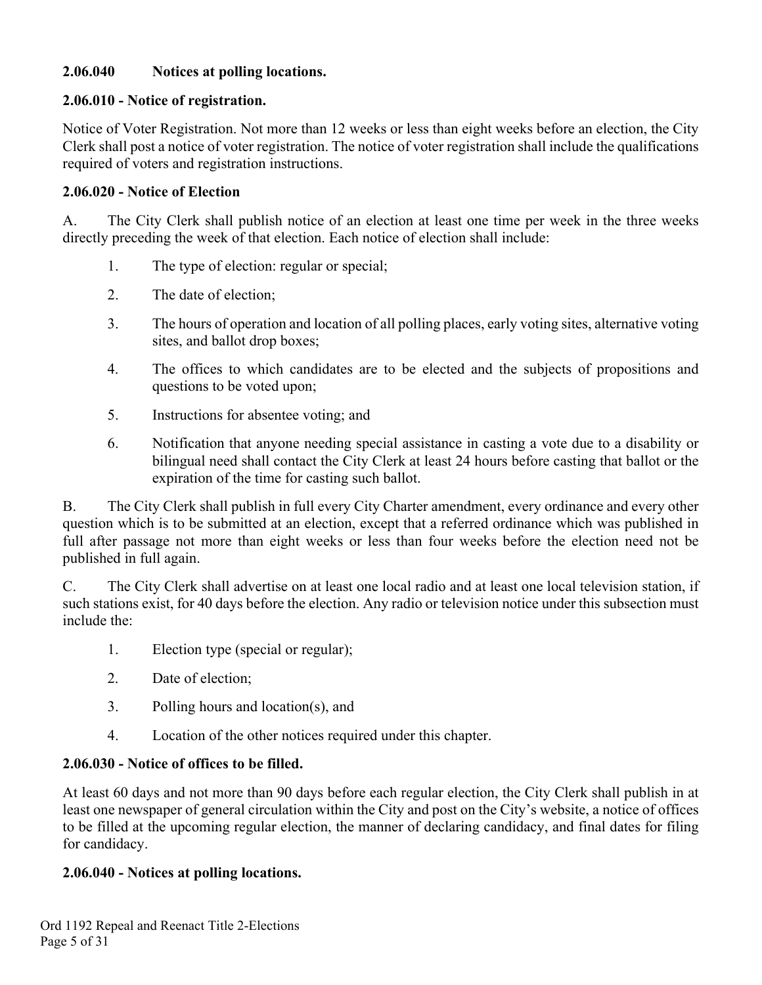#### **2.06.040 Notices at polling locations.**

#### **2.06.010 - Notice of registration.**

Notice of Voter Registration. Not more than 12 weeks or less than eight weeks before an election, the City Clerk shall post a notice of voter registration. The notice of voter registration shall include the qualifications required of voters and registration instructions.

#### **2.06.020 - Notice of Election**

A. The City Clerk shall publish notice of an election at least one time per week in the three weeks directly preceding the week of that election. Each notice of election shall include:

- 1. The type of election: regular or special;
- 2. The date of election;
- 3. The hours of operation and location of all polling places, early voting sites, alternative voting sites, and ballot drop boxes;
- 4. The offices to which candidates are to be elected and the subjects of propositions and questions to be voted upon;
- 5. Instructions for absentee voting; and
- 6. Notification that anyone needing special assistance in casting a vote due to a disability or bilingual need shall contact the City Clerk at least 24 hours before casting that ballot or the expiration of the time for casting such ballot.

B. The City Clerk shall publish in full every City Charter amendment, every ordinance and every other question which is to be submitted at an election, except that a referred ordinance which was published in full after passage not more than eight weeks or less than four weeks before the election need not be published in full again.

C. The City Clerk shall advertise on at least one local radio and at least one local television station, if such stations exist, for 40 days before the election. Any radio or television notice under this subsection must include the:

- 1. Election type (special or regular);
- 2. Date of election;
- 3. Polling hours and location(s), and
- 4. Location of the other notices required under this chapter.

#### **2.06.030 - Notice of offices to be filled.**

At least 60 days and not more than 90 days before each regular election, the City Clerk shall publish in at least one newspaper of general circulation within the City and post on the City's website, a notice of offices to be filled at the upcoming regular election, the manner of declaring candidacy, and final dates for filing for candidacy.

#### **2.06.040 - Notices at polling locations.**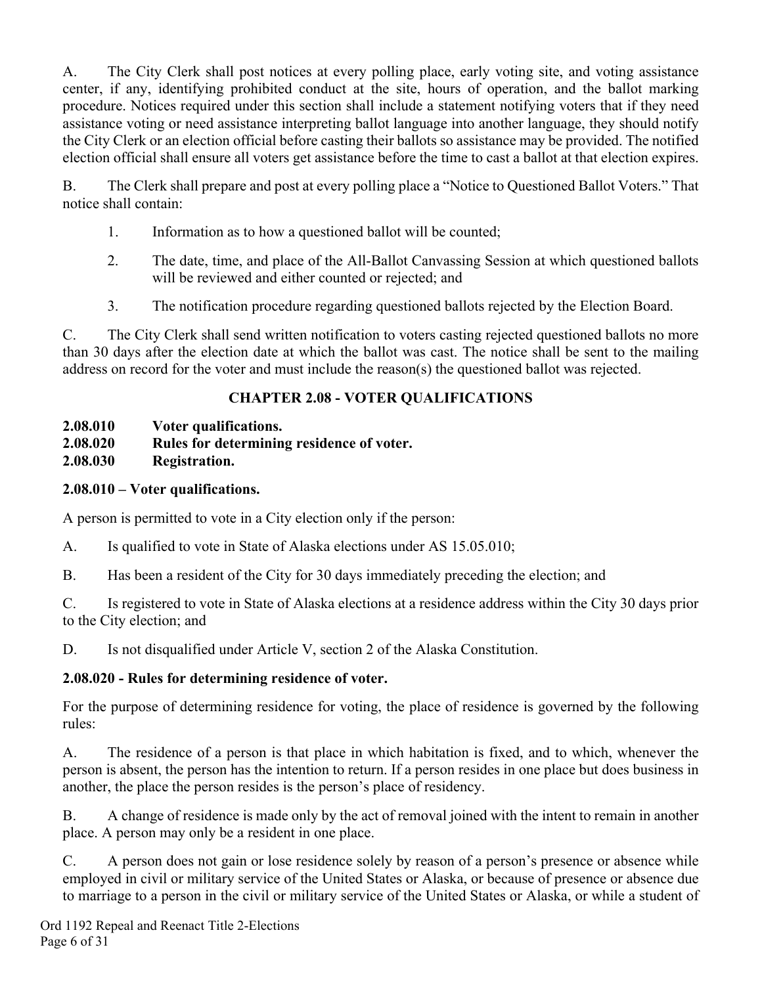A. The City Clerk shall post notices at every polling place, early voting site, and voting assistance center, if any, identifying prohibited conduct at the site, hours of operation, and the ballot marking procedure. Notices required under this section shall include a statement notifying voters that if they need assistance voting or need assistance interpreting ballot language into another language, they should notify the City Clerk or an election official before casting their ballots so assistance may be provided. The notified election official shall ensure all voters get assistance before the time to cast a ballot at that election expires.

B. The Clerk shall prepare and post at every polling place a "Notice to Questioned Ballot Voters." That notice shall contain:

- 1. Information as to how a questioned ballot will be counted;
- 2. The date, time, and place of the All-Ballot Canvassing Session at which questioned ballots will be reviewed and either counted or rejected; and
- 3. The notification procedure regarding questioned ballots rejected by the Election Board.

C. The City Clerk shall send written notification to voters casting rejected questioned ballots no more than 30 days after the election date at which the ballot was cast. The notice shall be sent to the mailing address on record for the voter and must include the reason(s) the questioned ballot was rejected.

### **CHAPTER 2.08 - VOTER QUALIFICATIONS**

**2.08.010 Voter qualifications.** 

- **2.08.020 Rules for determining residence of voter.**
- **2.08.030 Registration.**

### **2.08.010 – Voter qualifications.**

A person is permitted to vote in a City election only if the person:

A. Is qualified to vote in State of Alaska elections under AS 15.05.010;

B. Has been a resident of the City for 30 days immediately preceding the election; and

C. Is registered to vote in State of Alaska elections at a residence address within the City 30 days prior to the City election; and

D. Is not disqualified under Article V, section 2 of the Alaska Constitution.

## **2.08.020 - Rules for determining residence of voter.**

For the purpose of determining residence for voting, the place of residence is governed by the following rules:

A. The residence of a person is that place in which habitation is fixed, and to which, whenever the person is absent, the person has the intention to return. If a person resides in one place but does business in another, the place the person resides is the person's place of residency.

B. A change of residence is made only by the act of removal joined with the intent to remain in another place. A person may only be a resident in one place.

C. A person does not gain or lose residence solely by reason of a person's presence or absence while employed in civil or military service of the United States or Alaska, or because of presence or absence due to marriage to a person in the civil or military service of the United States or Alaska, or while a student of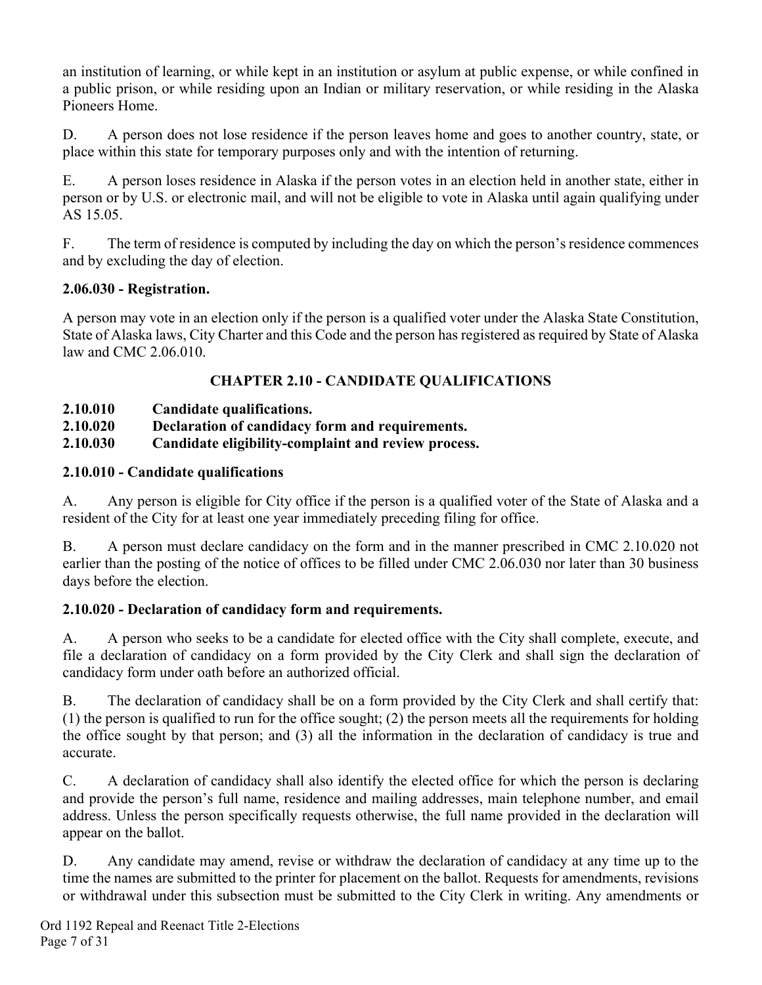an institution of learning, or while kept in an institution or asylum at public expense, or while confined in a public prison, or while residing upon an Indian or military reservation, or while residing in the Alaska Pioneers Home.

D. A person does not lose residence if the person leaves home and goes to another country, state, or place within this state for temporary purposes only and with the intention of returning.

E. A person loses residence in Alaska if the person votes in an election held in another state, either in person or by U.S. or electronic mail, and will not be eligible to vote in Alaska until again qualifying under AS 15.05.

F. The term of residence is computed by including the day on which the person's residence commences and by excluding the day of election.

#### **2.06.030 - Registration.**

A person may vote in an election only if the person is a qualified voter under the Alaska State Constitution, State of Alaska laws, City Charter and this Code and the person has registered as required by State of Alaska law and CMC 2.06.010.

### **CHAPTER 2.10 - CANDIDATE QUALIFICATIONS**

- **2.10.010 Candidate qualifications.**
- **2.10.020 Declaration of candidacy form and requirements.**
- **2.10.030 Candidate eligibility-complaint and review process.**

### **2.10.010 - Candidate qualifications**

A. Any person is eligible for City office if the person is a qualified voter of the State of Alaska and a resident of the City for at least one year immediately preceding filing for office.

B. A person must declare candidacy on the form and in the manner prescribed in CMC 2.10.020 not earlier than the posting of the notice of offices to be filled under CMC 2.06.030 nor later than 30 business days before the election.

### **2.10.020 - Declaration of candidacy form and requirements.**

A. A person who seeks to be a candidate for elected office with the City shall complete, execute, and file a declaration of candidacy on a form provided by the City Clerk and shall sign the declaration of candidacy form under oath before an authorized official.

B. The declaration of candidacy shall be on a form provided by the City Clerk and shall certify that: (1) the person is qualified to run for the office sought; (2) the person meets all the requirements for holding the office sought by that person; and (3) all the information in the declaration of candidacy is true and accurate.

C. A declaration of candidacy shall also identify the elected office for which the person is declaring and provide the person's full name, residence and mailing addresses, main telephone number, and email address. Unless the person specifically requests otherwise, the full name provided in the declaration will appear on the ballot.

D. Any candidate may amend, revise or withdraw the declaration of candidacy at any time up to the time the names are submitted to the printer for placement on the ballot. Requests for amendments, revisions or withdrawal under this subsection must be submitted to the City Clerk in writing. Any amendments or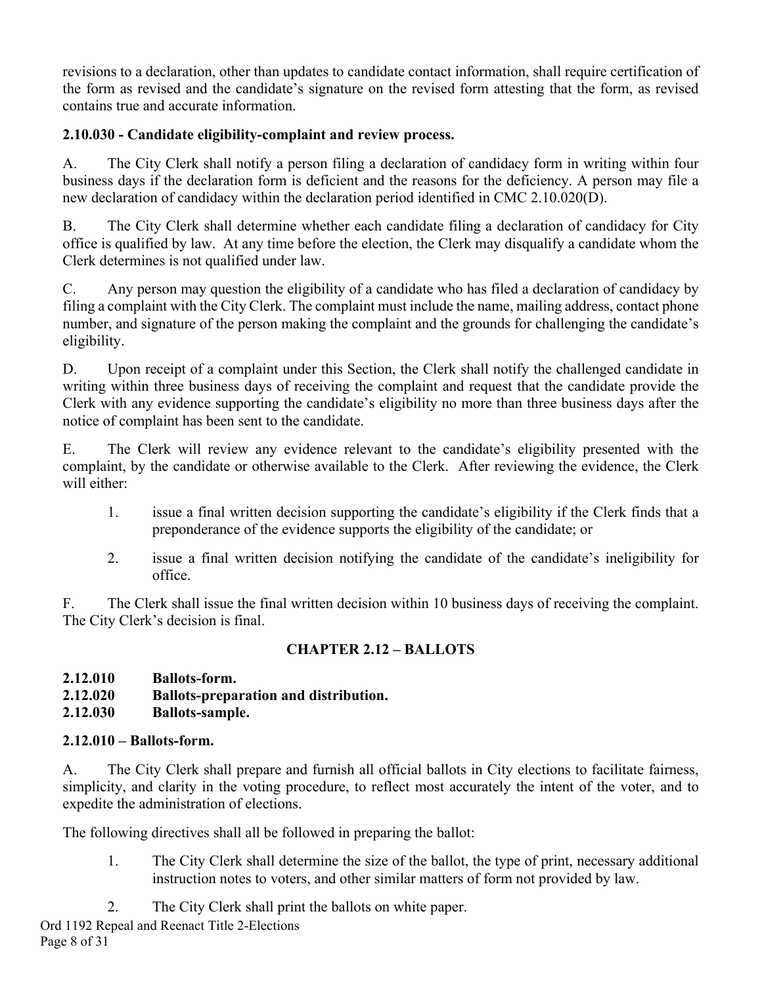revisions to a declaration, other than updates to candidate contact information, shall require certification of the form as revised and the candidate's signature on the revised form attesting that the form, as revised contains true and accurate information.

### **2.10.030 - Candidate eligibility-complaint and review process.**

A. The City Clerk shall notify a person filing a declaration of candidacy form in writing within four business days if the declaration form is deficient and the reasons for the deficiency. A person may file a new declaration of candidacy within the declaration period identified in CMC 2.10.020(D).

B. The City Clerk shall determine whether each candidate filing a declaration of candidacy for City office is qualified by law. At any time before the election, the Clerk may disqualify a candidate whom the Clerk determines is not qualified under law.

C. Any person may question the eligibility of a candidate who has filed a declaration of candidacy by filing a complaint with the City Clerk. The complaint must include the name, mailing address, contact phone number, and signature of the person making the complaint and the grounds for challenging the candidate's eligibility.

D. Upon receipt of a complaint under this Section, the Clerk shall notify the challenged candidate in writing within three business days of receiving the complaint and request that the candidate provide the Clerk with any evidence supporting the candidate's eligibility no more than three business days after the notice of complaint has been sent to the candidate.

E. The Clerk will review any evidence relevant to the candidate's eligibility presented with the complaint, by the candidate or otherwise available to the Clerk. After reviewing the evidence, the Clerk will either:

- 1. issue a final written decision supporting the candidate's eligibility if the Clerk finds that a preponderance of the evidence supports the eligibility of the candidate; or
- 2. issue a final written decision notifying the candidate of the candidate's ineligibility for office.

F. The Clerk shall issue the final written decision within 10 business days of receiving the complaint. The City Clerk's decision is final.

## **CHAPTER 2.12 – BALLOTS**

**2.12.010 Ballots-form.** 

- **2.12.020 Ballots-preparation and distribution.**
- **2.12.030 Ballots-sample.**

# **2.12.010 – Ballots-form.**

A. The City Clerk shall prepare and furnish all official ballots in City elections to facilitate fairness, simplicity, and clarity in the voting procedure, to reflect most accurately the intent of the voter, and to expedite the administration of elections.

The following directives shall all be followed in preparing the ballot:

- 1. The City Clerk shall determine the size of the ballot, the type of print, necessary additional instruction notes to voters, and other similar matters of form not provided by law.
- 2. The City Clerk shall print the ballots on white paper.

Ord 1192 Repeal and Reenact Title 2-Elections Page 8 of 31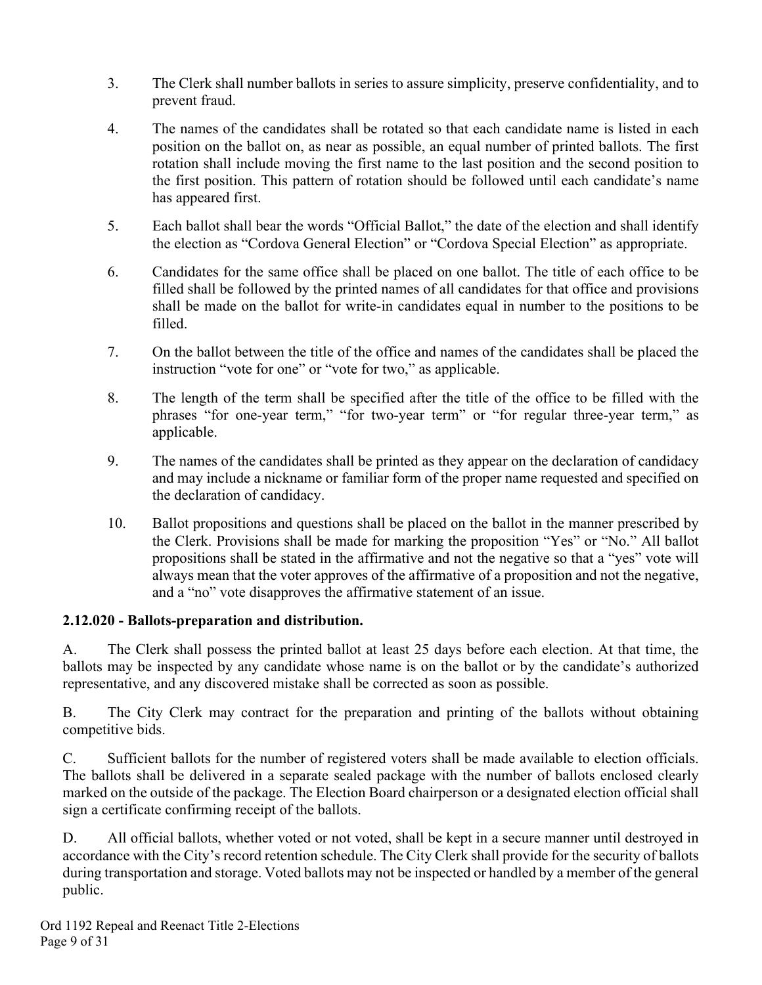- 3. The Clerk shall number ballots in series to assure simplicity, preserve confidentiality, and to prevent fraud.
- 4. The names of the candidates shall be rotated so that each candidate name is listed in each position on the ballot on, as near as possible, an equal number of printed ballots. The first rotation shall include moving the first name to the last position and the second position to the first position. This pattern of rotation should be followed until each candidate's name has appeared first.
- 5. Each ballot shall bear the words "Official Ballot," the date of the election and shall identify the election as "Cordova General Election" or "Cordova Special Election" as appropriate.
- 6. Candidates for the same office shall be placed on one ballot. The title of each office to be filled shall be followed by the printed names of all candidates for that office and provisions shall be made on the ballot for write-in candidates equal in number to the positions to be filled.
- 7. On the ballot between the title of the office and names of the candidates shall be placed the instruction "vote for one" or "vote for two," as applicable.
- 8. The length of the term shall be specified after the title of the office to be filled with the phrases "for one-year term," "for two-year term" or "for regular three-year term," as applicable.
- 9. The names of the candidates shall be printed as they appear on the declaration of candidacy and may include a nickname or familiar form of the proper name requested and specified on the declaration of candidacy.
- 10. Ballot propositions and questions shall be placed on the ballot in the manner prescribed by the Clerk. Provisions shall be made for marking the proposition "Yes" or "No." All ballot propositions shall be stated in the affirmative and not the negative so that a "yes" vote will always mean that the voter approves of the affirmative of a proposition and not the negative, and a "no" vote disapproves the affirmative statement of an issue.

#### **2.12.020 - Ballots-preparation and distribution.**

A. The Clerk shall possess the printed ballot at least 25 days before each election. At that time, the ballots may be inspected by any candidate whose name is on the ballot or by the candidate's authorized representative, and any discovered mistake shall be corrected as soon as possible.

B. The City Clerk may contract for the preparation and printing of the ballots without obtaining competitive bids.

C. Sufficient ballots for the number of registered voters shall be made available to election officials. The ballots shall be delivered in a separate sealed package with the number of ballots enclosed clearly marked on the outside of the package. The Election Board chairperson or a designated election official shall sign a certificate confirming receipt of the ballots.

D. All official ballots, whether voted or not voted, shall be kept in a secure manner until destroyed in accordance with the City's record retention schedule. The City Clerk shall provide for the security of ballots during transportation and storage. Voted ballots may not be inspected or handled by a member of the general public.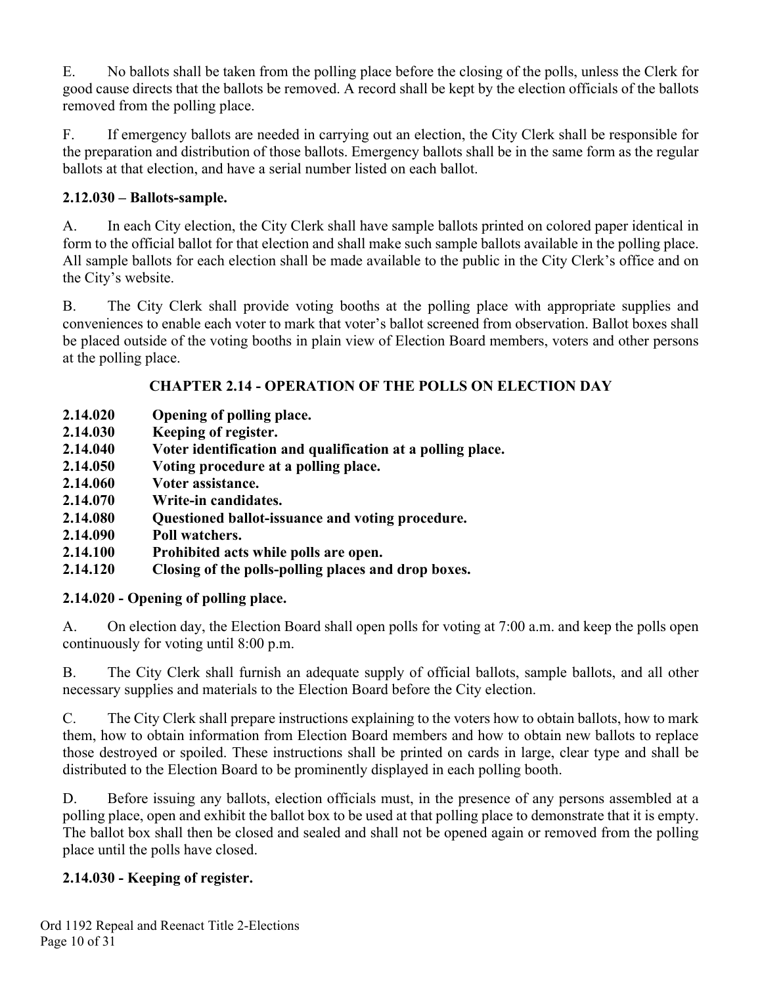E. No ballots shall be taken from the polling place before the closing of the polls, unless the Clerk for good cause directs that the ballots be removed. A record shall be kept by the election officials of the ballots removed from the polling place.

F. If emergency ballots are needed in carrying out an election, the City Clerk shall be responsible for the preparation and distribution of those ballots. Emergency ballots shall be in the same form as the regular ballots at that election, and have a serial number listed on each ballot.

## **2.12.030 – Ballots-sample.**

A. In each City election, the City Clerk shall have sample ballots printed on colored paper identical in form to the official ballot for that election and shall make such sample ballots available in the polling place. All sample ballots for each election shall be made available to the public in the City Clerk's office and on the City's website.

B. The City Clerk shall provide voting booths at the polling place with appropriate supplies and conveniences to enable each voter to mark that voter's ballot screened from observation. Ballot boxes shall be placed outside of the voting booths in plain view of Election Board members, voters and other persons at the polling place.

### **CHAPTER 2.14 - OPERATION OF THE POLLS ON ELECTION DAY**

- **2.14.020 Opening of polling place.**
- **2.14.030 Keeping of register.**
- **2.14.040 Voter identification and qualification at a polling place.**
- **2.14.050 Voting procedure at a polling place.**
- **2.14.060 Voter assistance.**
- **2.14.070 Write-in candidates.**
- **2.14.080 Questioned ballot-issuance and voting procedure.**
- **2.14.090 Poll watchers.**
- **2.14.100 Prohibited acts while polls are open.**
- **2.14.120 Closing of the polls-polling places and drop boxes.**

## **2.14.020 - Opening of polling place.**

A. On election day, the Election Board shall open polls for voting at 7:00 a.m. and keep the polls open continuously for voting until 8:00 p.m.

B. The City Clerk shall furnish an adequate supply of official ballots, sample ballots, and all other necessary supplies and materials to the Election Board before the City election.

C. The City Clerk shall prepare instructions explaining to the voters how to obtain ballots, how to mark them, how to obtain information from Election Board members and how to obtain new ballots to replace those destroyed or spoiled. These instructions shall be printed on cards in large, clear type and shall be distributed to the Election Board to be prominently displayed in each polling booth.

D. Before issuing any ballots, election officials must, in the presence of any persons assembled at a polling place, open and exhibit the ballot box to be used at that polling place to demonstrate that it is empty. The ballot box shall then be closed and sealed and shall not be opened again or removed from the polling place until the polls have closed.

## **2.14.030 - Keeping of register.**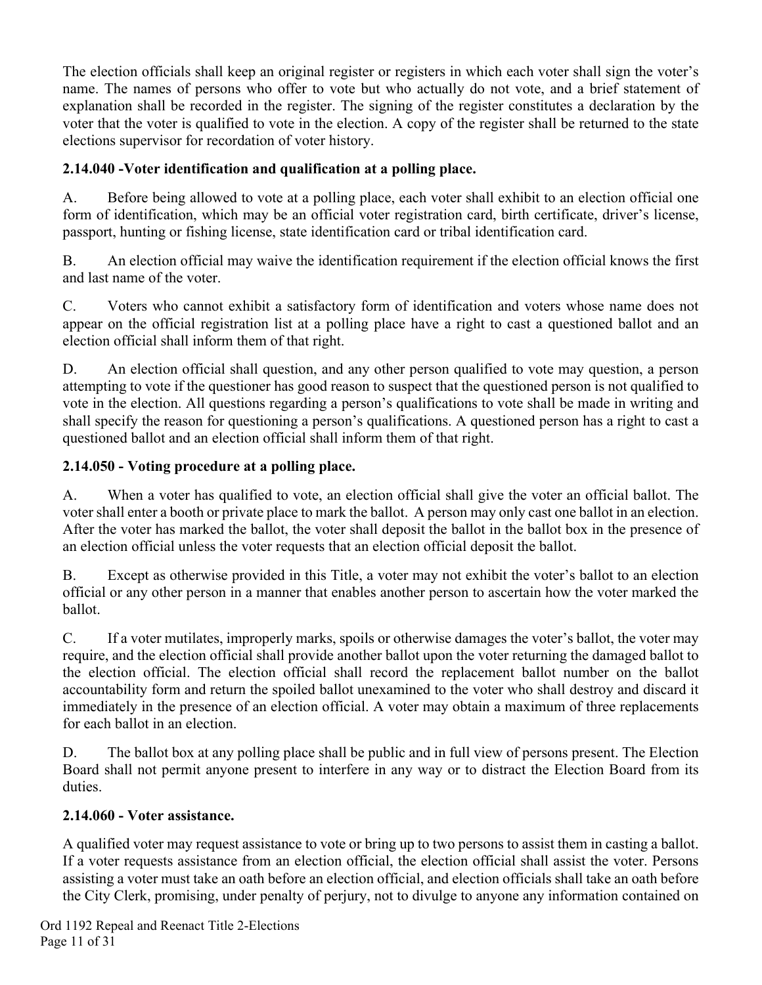The election officials shall keep an original register or registers in which each voter shall sign the voter's name. The names of persons who offer to vote but who actually do not vote, and a brief statement of explanation shall be recorded in the register. The signing of the register constitutes a declaration by the voter that the voter is qualified to vote in the election. A copy of the register shall be returned to the state elections supervisor for recordation of voter history.

## **2.14.040 -Voter identification and qualification at a polling place.**

A. Before being allowed to vote at a polling place, each voter shall exhibit to an election official one form of identification, which may be an official voter registration card, birth certificate, driver's license, passport, hunting or fishing license, state identification card or tribal identification card.

B. An election official may waive the identification requirement if the election official knows the first and last name of the voter.

C. Voters who cannot exhibit a satisfactory form of identification and voters whose name does not appear on the official registration list at a polling place have a right to cast a questioned ballot and an election official shall inform them of that right.

D. An election official shall question, and any other person qualified to vote may question, a person attempting to vote if the questioner has good reason to suspect that the questioned person is not qualified to vote in the election. All questions regarding a person's qualifications to vote shall be made in writing and shall specify the reason for questioning a person's qualifications. A questioned person has a right to cast a questioned ballot and an election official shall inform them of that right.

### **2.14.050 - Voting procedure at a polling place.**

A. When a voter has qualified to vote, an election official shall give the voter an official ballot. The voter shall enter a booth or private place to mark the ballot. A person may only cast one ballot in an election. After the voter has marked the ballot, the voter shall deposit the ballot in the ballot box in the presence of an election official unless the voter requests that an election official deposit the ballot.

B. Except as otherwise provided in this Title, a voter may not exhibit the voter's ballot to an election official or any other person in a manner that enables another person to ascertain how the voter marked the ballot.

C. If a voter mutilates, improperly marks, spoils or otherwise damages the voter's ballot, the voter may require, and the election official shall provide another ballot upon the voter returning the damaged ballot to the election official. The election official shall record the replacement ballot number on the ballot accountability form and return the spoiled ballot unexamined to the voter who shall destroy and discard it immediately in the presence of an election official. A voter may obtain a maximum of three replacements for each ballot in an election.

D. The ballot box at any polling place shall be public and in full view of persons present. The Election Board shall not permit anyone present to interfere in any way or to distract the Election Board from its duties.

### **2.14.060 - Voter assistance.**

A qualified voter may request assistance to vote or bring up to two persons to assist them in casting a ballot. If a voter requests assistance from an election official, the election official shall assist the voter. Persons assisting a voter must take an oath before an election official, and election officials shall take an oath before the City Clerk, promising, under penalty of perjury, not to divulge to anyone any information contained on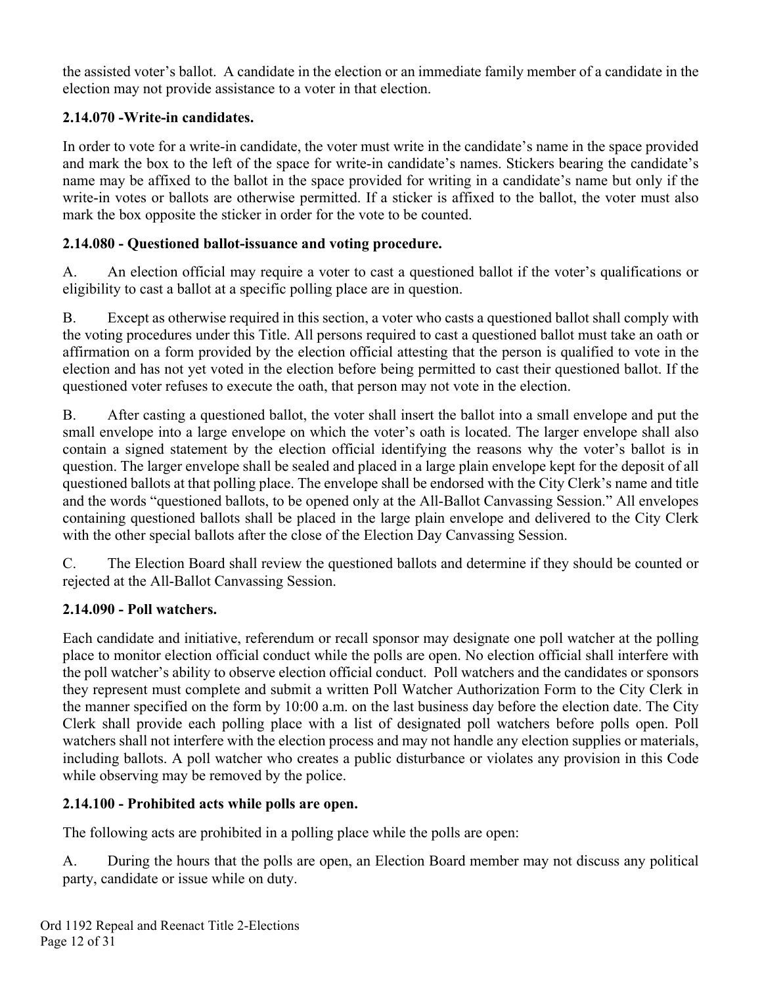the assisted voter's ballot. A candidate in the election or an immediate family member of a candidate in the election may not provide assistance to a voter in that election.

### **2.14.070 -Write-in candidates.**

In order to vote for a write-in candidate, the voter must write in the candidate's name in the space provided and mark the box to the left of the space for write-in candidate's names. Stickers bearing the candidate's name may be affixed to the ballot in the space provided for writing in a candidate's name but only if the write-in votes or ballots are otherwise permitted. If a sticker is affixed to the ballot, the voter must also mark the box opposite the sticker in order for the vote to be counted.

## **2.14.080 - Questioned ballot-issuance and voting procedure.**

A. An election official may require a voter to cast a questioned ballot if the voter's qualifications or eligibility to cast a ballot at a specific polling place are in question.

B. Except as otherwise required in this section, a voter who casts a questioned ballot shall comply with the voting procedures under this Title. All persons required to cast a questioned ballot must take an oath or affirmation on a form provided by the election official attesting that the person is qualified to vote in the election and has not yet voted in the election before being permitted to cast their questioned ballot. If the questioned voter refuses to execute the oath, that person may not vote in the election.

B. After casting a questioned ballot, the voter shall insert the ballot into a small envelope and put the small envelope into a large envelope on which the voter's oath is located. The larger envelope shall also contain a signed statement by the election official identifying the reasons why the voter's ballot is in question. The larger envelope shall be sealed and placed in a large plain envelope kept for the deposit of all questioned ballots at that polling place. The envelope shall be endorsed with the City Clerk's name and title and the words "questioned ballots, to be opened only at the All-Ballot Canvassing Session." All envelopes containing questioned ballots shall be placed in the large plain envelope and delivered to the City Clerk with the other special ballots after the close of the Election Day Canvassing Session.

C. The Election Board shall review the questioned ballots and determine if they should be counted or rejected at the All-Ballot Canvassing Session.

## **2.14.090 - Poll watchers.**

Each candidate and initiative, referendum or recall sponsor may designate one poll watcher at the polling place to monitor election official conduct while the polls are open. No election official shall interfere with the poll watcher's ability to observe election official conduct. Poll watchers and the candidates or sponsors they represent must complete and submit a written Poll Watcher Authorization Form to the City Clerk in the manner specified on the form by 10:00 a.m. on the last business day before the election date. The City Clerk shall provide each polling place with a list of designated poll watchers before polls open. Poll watchers shall not interfere with the election process and may not handle any election supplies or materials, including ballots. A poll watcher who creates a public disturbance or violates any provision in this Code while observing may be removed by the police.

## **2.14.100 - Prohibited acts while polls are open.**

The following acts are prohibited in a polling place while the polls are open:

A. During the hours that the polls are open, an Election Board member may not discuss any political party, candidate or issue while on duty.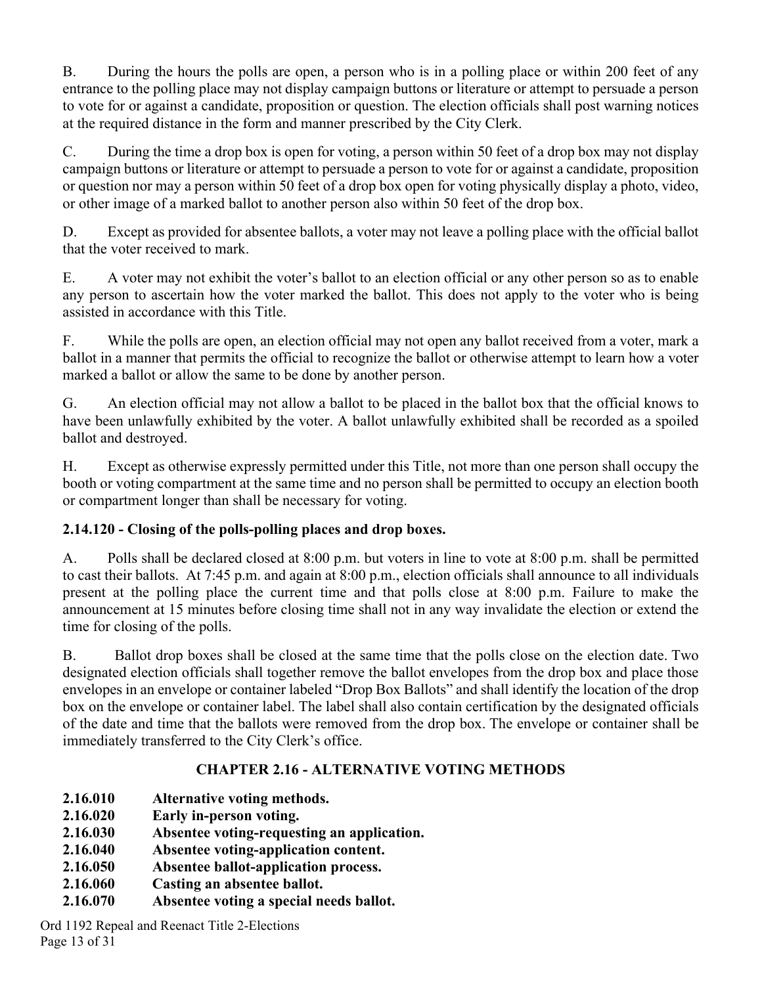B. During the hours the polls are open, a person who is in a polling place or within 200 feet of any entrance to the polling place may not display campaign buttons or literature or attempt to persuade a person to vote for or against a candidate, proposition or question. The election officials shall post warning notices at the required distance in the form and manner prescribed by the City Clerk.

C. During the time a drop box is open for voting, a person within 50 feet of a drop box may not display campaign buttons or literature or attempt to persuade a person to vote for or against a candidate, proposition or question nor may a person within 50 feet of a drop box open for voting physically display a photo, video, or other image of a marked ballot to another person also within 50 feet of the drop box.

D. Except as provided for absentee ballots, a voter may not leave a polling place with the official ballot that the voter received to mark.

E. A voter may not exhibit the voter's ballot to an election official or any other person so as to enable any person to ascertain how the voter marked the ballot. This does not apply to the voter who is being assisted in accordance with this Title.

F. While the polls are open, an election official may not open any ballot received from a voter, mark a ballot in a manner that permits the official to recognize the ballot or otherwise attempt to learn how a voter marked a ballot or allow the same to be done by another person.

G. An election official may not allow a ballot to be placed in the ballot box that the official knows to have been unlawfully exhibited by the voter. A ballot unlawfully exhibited shall be recorded as a spoiled ballot and destroyed.

H. Except as otherwise expressly permitted under this Title, not more than one person shall occupy the booth or voting compartment at the same time and no person shall be permitted to occupy an election booth or compartment longer than shall be necessary for voting.

## **2.14.120 - Closing of the polls-polling places and drop boxes.**

A. Polls shall be declared closed at 8:00 p.m. but voters in line to vote at 8:00 p.m. shall be permitted to cast their ballots. At 7:45 p.m. and again at 8:00 p.m., election officials shall announce to all individuals present at the polling place the current time and that polls close at 8:00 p.m. Failure to make the announcement at 15 minutes before closing time shall not in any way invalidate the election or extend the time for closing of the polls.

B. Ballot drop boxes shall be closed at the same time that the polls close on the election date. Two designated election officials shall together remove the ballot envelopes from the drop box and place those envelopes in an envelope or container labeled "Drop Box Ballots" and shall identify the location of the drop box on the envelope or container label. The label shall also contain certification by the designated officials of the date and time that the ballots were removed from the drop box. The envelope or container shall be immediately transferred to the City Clerk's office.

## **CHAPTER 2.16 - ALTERNATIVE VOTING METHODS**

- **2.16.010 Alternative voting methods.**
- **2.16.020 Early in-person voting.**
- **2.16.030 Absentee voting-requesting an application.**
- **2.16.040 Absentee voting-application content.**
- **2.16.050 Absentee ballot-application process.**
- **2.16.060 Casting an absentee ballot.**
- **2.16.070 Absentee voting a special needs ballot.**

Ord 1192 Repeal and Reenact Title 2-Elections Page 13 of 31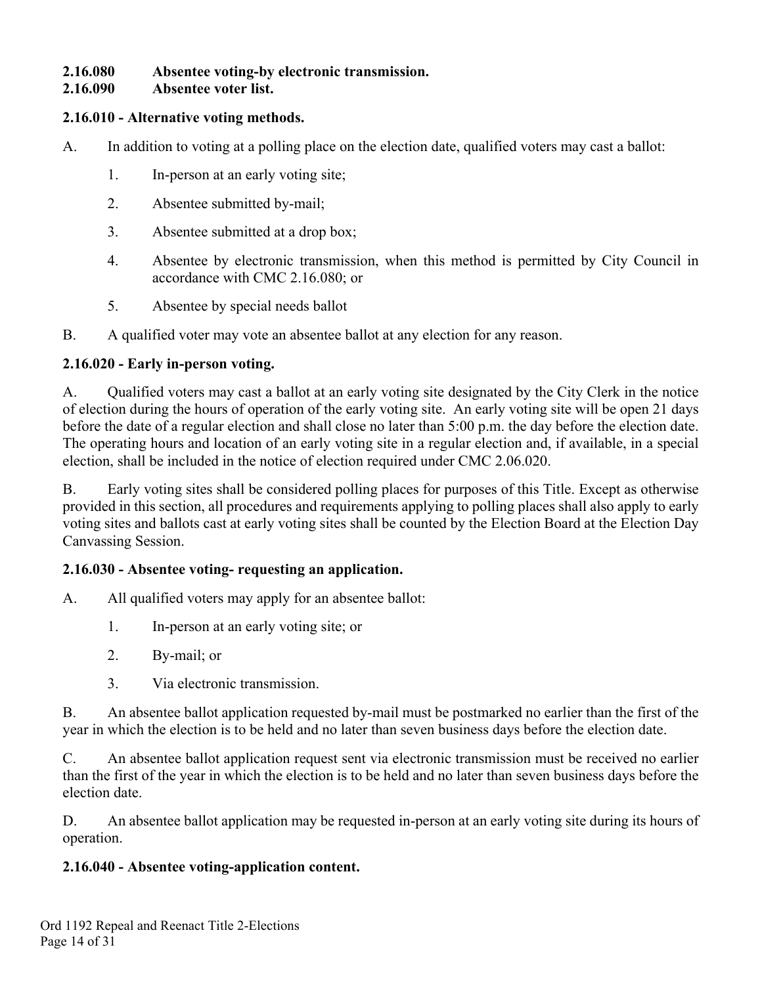#### **2.16.080 Absentee voting-by electronic transmission.**

#### **2.16.090 Absentee voter list.**

#### **2.16.010 - Alternative voting methods.**

- A. In addition to voting at a polling place on the election date, qualified voters may cast a ballot:
	- 1. In-person at an early voting site;
	- 2. Absentee submitted by-mail;
	- 3. Absentee submitted at a drop box;
	- 4. Absentee by electronic transmission, when this method is permitted by City Council in accordance with CMC 2.16.080; or
	- 5. Absentee by special needs ballot
- B. A qualified voter may vote an absentee ballot at any election for any reason.

### **2.16.020 - Early in-person voting.**

A. Qualified voters may cast a ballot at an early voting site designated by the City Clerk in the notice of election during the hours of operation of the early voting site. An early voting site will be open 21 days before the date of a regular election and shall close no later than 5:00 p.m. the day before the election date. The operating hours and location of an early voting site in a regular election and, if available, in a special election, shall be included in the notice of election required under CMC 2.06.020.

B. Early voting sites shall be considered polling places for purposes of this Title. Except as otherwise provided in this section, all procedures and requirements applying to polling places shall also apply to early voting sites and ballots cast at early voting sites shall be counted by the Election Board at the Election Day Canvassing Session.

### **2.16.030 - Absentee voting- requesting an application.**

- A. All qualified voters may apply for an absentee ballot:
	- 1. In-person at an early voting site; or
	- 2. By-mail; or
	- 3. Via electronic transmission.

B. An absentee ballot application requested by-mail must be postmarked no earlier than the first of the year in which the election is to be held and no later than seven business days before the election date.

C. An absentee ballot application request sent via electronic transmission must be received no earlier than the first of the year in which the election is to be held and no later than seven business days before the election date.

D. An absentee ballot application may be requested in-person at an early voting site during its hours of operation.

### **2.16.040 - Absentee voting-application content.**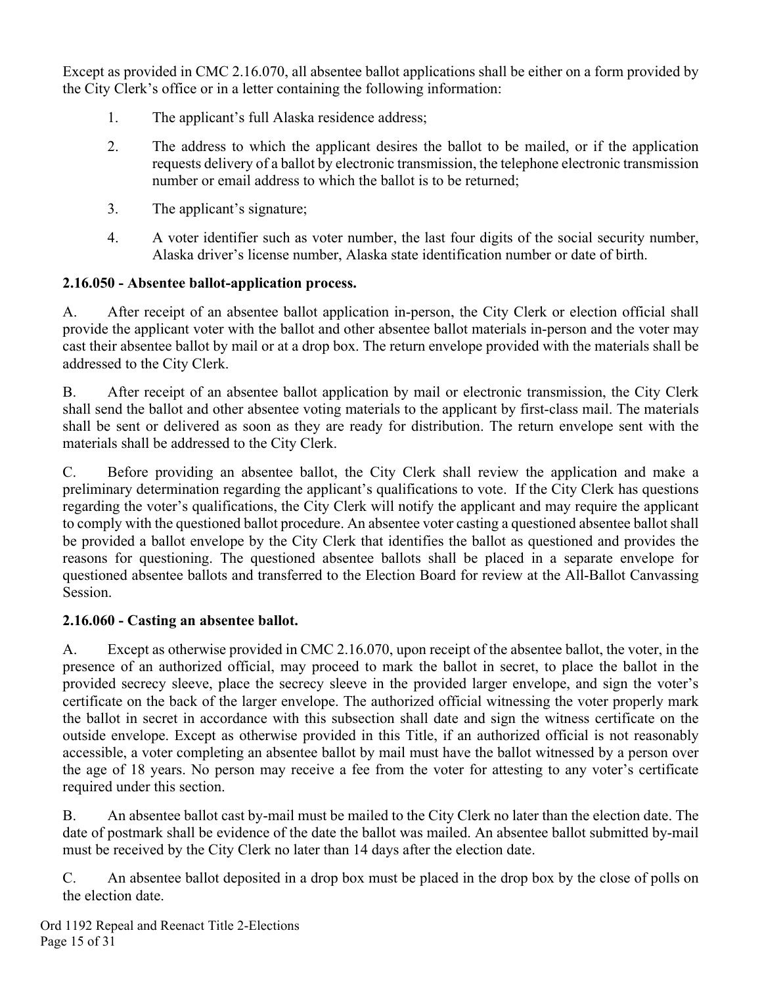Except as provided in CMC 2.16.070, all absentee ballot applications shall be either on a form provided by the City Clerk's office or in a letter containing the following information:

- 1. The applicant's full Alaska residence address;
- 2. The address to which the applicant desires the ballot to be mailed, or if the application requests delivery of a ballot by electronic transmission, the telephone electronic transmission number or email address to which the ballot is to be returned;
- 3. The applicant's signature;
- 4. A voter identifier such as voter number, the last four digits of the social security number, Alaska driver's license number, Alaska state identification number or date of birth.

### **2.16.050 - Absentee ballot-application process.**

A. After receipt of an absentee ballot application in-person, the City Clerk or election official shall provide the applicant voter with the ballot and other absentee ballot materials in-person and the voter may cast their absentee ballot by mail or at a drop box. The return envelope provided with the materials shall be addressed to the City Clerk.

B. After receipt of an absentee ballot application by mail or electronic transmission, the City Clerk shall send the ballot and other absentee voting materials to the applicant by first-class mail. The materials shall be sent or delivered as soon as they are ready for distribution. The return envelope sent with the materials shall be addressed to the City Clerk.

C. Before providing an absentee ballot, the City Clerk shall review the application and make a preliminary determination regarding the applicant's qualifications to vote. If the City Clerk has questions regarding the voter's qualifications, the City Clerk will notify the applicant and may require the applicant to comply with the questioned ballot procedure. An absentee voter casting a questioned absentee ballot shall be provided a ballot envelope by the City Clerk that identifies the ballot as questioned and provides the reasons for questioning. The questioned absentee ballots shall be placed in a separate envelope for questioned absentee ballots and transferred to the Election Board for review at the All-Ballot Canvassing Session.

### **2.16.060 - Casting an absentee ballot.**

A. Except as otherwise provided in CMC 2.16.070, upon receipt of the absentee ballot, the voter, in the presence of an authorized official, may proceed to mark the ballot in secret, to place the ballot in the provided secrecy sleeve, place the secrecy sleeve in the provided larger envelope, and sign the voter's certificate on the back of the larger envelope. The authorized official witnessing the voter properly mark the ballot in secret in accordance with this subsection shall date and sign the witness certificate on the outside envelope. Except as otherwise provided in this Title, if an authorized official is not reasonably accessible, a voter completing an absentee ballot by mail must have the ballot witnessed by a person over the age of 18 years. No person may receive a fee from the voter for attesting to any voter's certificate required under this section.

B. An absentee ballot cast by-mail must be mailed to the City Clerk no later than the election date. The date of postmark shall be evidence of the date the ballot was mailed. An absentee ballot submitted by-mail must be received by the City Clerk no later than 14 days after the election date.

C. An absentee ballot deposited in a drop box must be placed in the drop box by the close of polls on the election date.

Ord 1192 Repeal and Reenact Title 2-Elections Page 15 of 31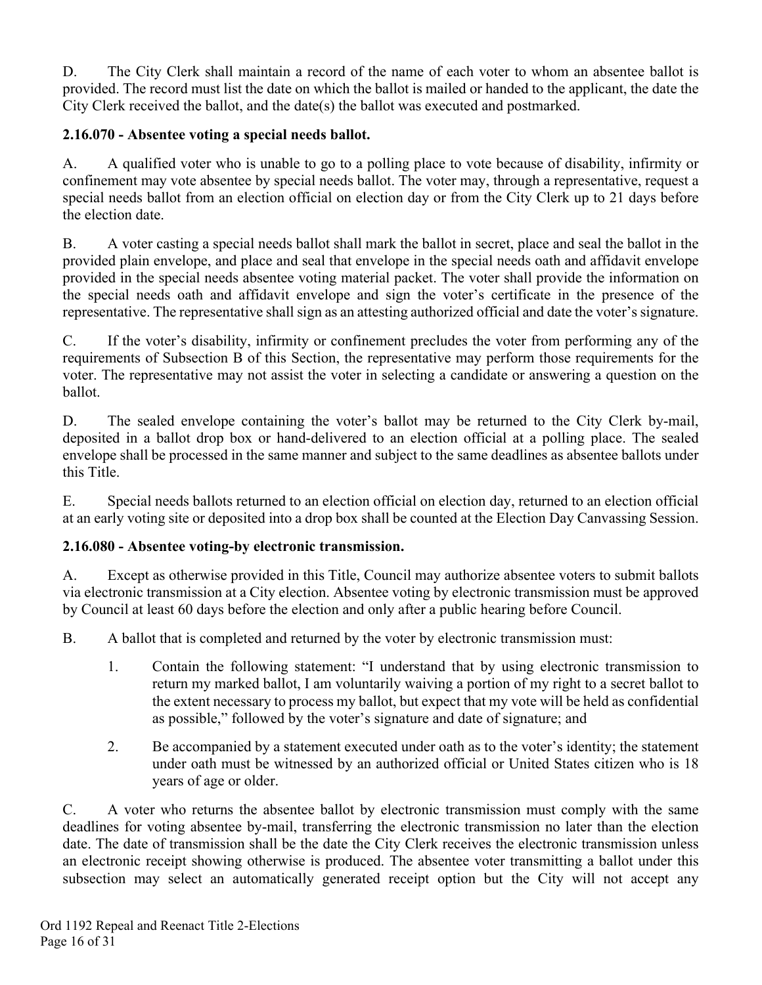D. The City Clerk shall maintain a record of the name of each voter to whom an absentee ballot is provided. The record must list the date on which the ballot is mailed or handed to the applicant, the date the City Clerk received the ballot, and the date(s) the ballot was executed and postmarked.

### **2.16.070 - Absentee voting a special needs ballot.**

A. A qualified voter who is unable to go to a polling place to vote because of disability, infirmity or confinement may vote absentee by special needs ballot. The voter may, through a representative, request a special needs ballot from an election official on election day or from the City Clerk up to 21 days before the election date.

B. A voter casting a special needs ballot shall mark the ballot in secret, place and seal the ballot in the provided plain envelope, and place and seal that envelope in the special needs oath and affidavit envelope provided in the special needs absentee voting material packet. The voter shall provide the information on the special needs oath and affidavit envelope and sign the voter's certificate in the presence of the representative. The representative shall sign as an attesting authorized official and date the voter's signature.

C. If the voter's disability, infirmity or confinement precludes the voter from performing any of the requirements of Subsection B of this Section, the representative may perform those requirements for the voter. The representative may not assist the voter in selecting a candidate or answering a question on the ballot.

D. The sealed envelope containing the voter's ballot may be returned to the City Clerk by-mail, deposited in a ballot drop box or hand-delivered to an election official at a polling place. The sealed envelope shall be processed in the same manner and subject to the same deadlines as absentee ballots under this Title.

E. Special needs ballots returned to an election official on election day, returned to an election official at an early voting site or deposited into a drop box shall be counted at the Election Day Canvassing Session.

### **2.16.080 - Absentee voting-by electronic transmission.**

A. Except as otherwise provided in this Title, Council may authorize absentee voters to submit ballots via electronic transmission at a City election. Absentee voting by electronic transmission must be approved by Council at least 60 days before the election and only after a public hearing before Council.

B. A ballot that is completed and returned by the voter by electronic transmission must:

- 1. Contain the following statement: "I understand that by using electronic transmission to return my marked ballot, I am voluntarily waiving a portion of my right to a secret ballot to the extent necessary to process my ballot, but expect that my vote will be held as confidential as possible," followed by the voter's signature and date of signature; and
- 2. Be accompanied by a statement executed under oath as to the voter's identity; the statement under oath must be witnessed by an authorized official or United States citizen who is 18 years of age or older.

C. A voter who returns the absentee ballot by electronic transmission must comply with the same deadlines for voting absentee by-mail, transferring the electronic transmission no later than the election date. The date of transmission shall be the date the City Clerk receives the electronic transmission unless an electronic receipt showing otherwise is produced. The absentee voter transmitting a ballot under this subsection may select an automatically generated receipt option but the City will not accept any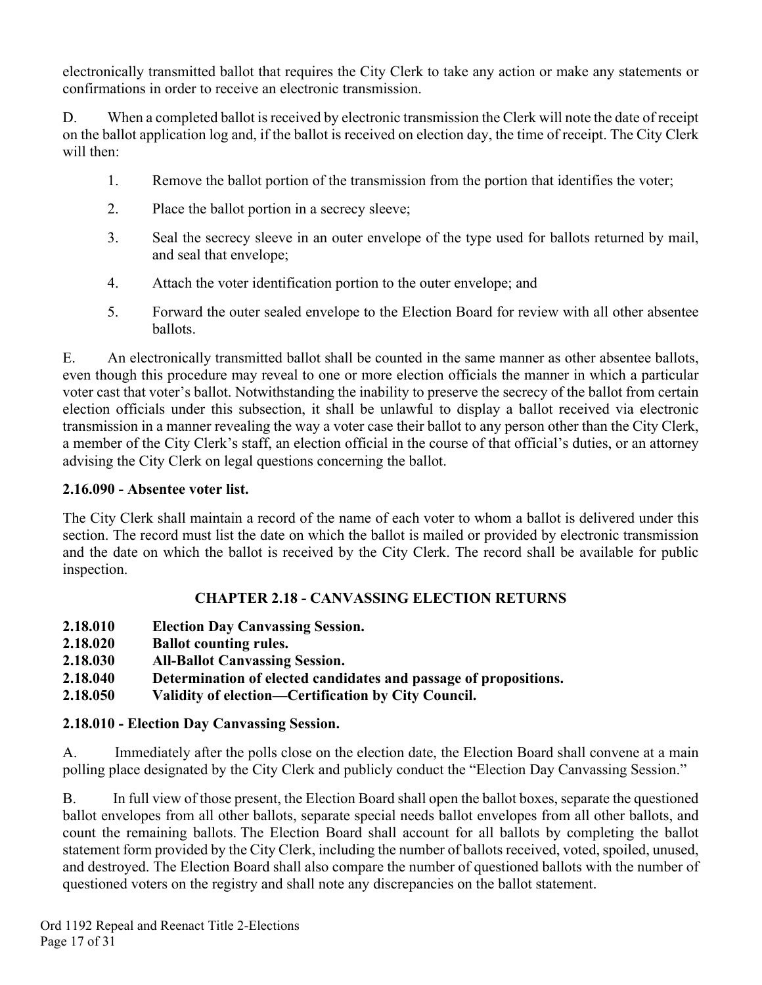electronically transmitted ballot that requires the City Clerk to take any action or make any statements or confirmations in order to receive an electronic transmission.

D. When a completed ballot is received by electronic transmission the Clerk will note the date of receipt on the ballot application log and, if the ballot is received on election day, the time of receipt. The City Clerk will then:

- 1. Remove the ballot portion of the transmission from the portion that identifies the voter;
- 2. Place the ballot portion in a secrecy sleeve;
- 3. Seal the secrecy sleeve in an outer envelope of the type used for ballots returned by mail, and seal that envelope;
- 4. Attach the voter identification portion to the outer envelope; and
- 5. Forward the outer sealed envelope to the Election Board for review with all other absentee ballots.

E. An electronically transmitted ballot shall be counted in the same manner as other absentee ballots, even though this procedure may reveal to one or more election officials the manner in which a particular voter cast that voter's ballot. Notwithstanding the inability to preserve the secrecy of the ballot from certain election officials under this subsection, it shall be unlawful to display a ballot received via electronic transmission in a manner revealing the way a voter case their ballot to any person other than the City Clerk, a member of the City Clerk's staff, an election official in the course of that official's duties, or an attorney advising the City Clerk on legal questions concerning the ballot.

#### **2.16.090 - Absentee voter list.**

The City Clerk shall maintain a record of the name of each voter to whom a ballot is delivered under this section. The record must list the date on which the ballot is mailed or provided by electronic transmission and the date on which the ballot is received by the City Clerk. The record shall be available for public inspection.

### **CHAPTER 2.18 - CANVASSING ELECTION RETURNS**

- **2.18.010 Election Day Canvassing Session.**
- **2.18.020 Ballot counting rules.**
- **2.18.030 All-Ballot Canvassing Session.**
- **2.18.040 Determination of elected candidates and passage of propositions.**
- **2.18.050 Validity of election—Certification by City Council.**

### **2.18.010 - Election Day Canvassing Session.**

A. Immediately after the polls close on the election date, the Election Board shall convene at a main polling place designated by the City Clerk and publicly conduct the "Election Day Canvassing Session."

B. In full view of those present, the Election Board shall open the ballot boxes, separate the questioned ballot envelopes from all other ballots, separate special needs ballot envelopes from all other ballots, and count the remaining ballots. The Election Board shall account for all ballots by completing the ballot statement form provided by the City Clerk, including the number of ballots received, voted, spoiled, unused, and destroyed. The Election Board shall also compare the number of questioned ballots with the number of questioned voters on the registry and shall note any discrepancies on the ballot statement.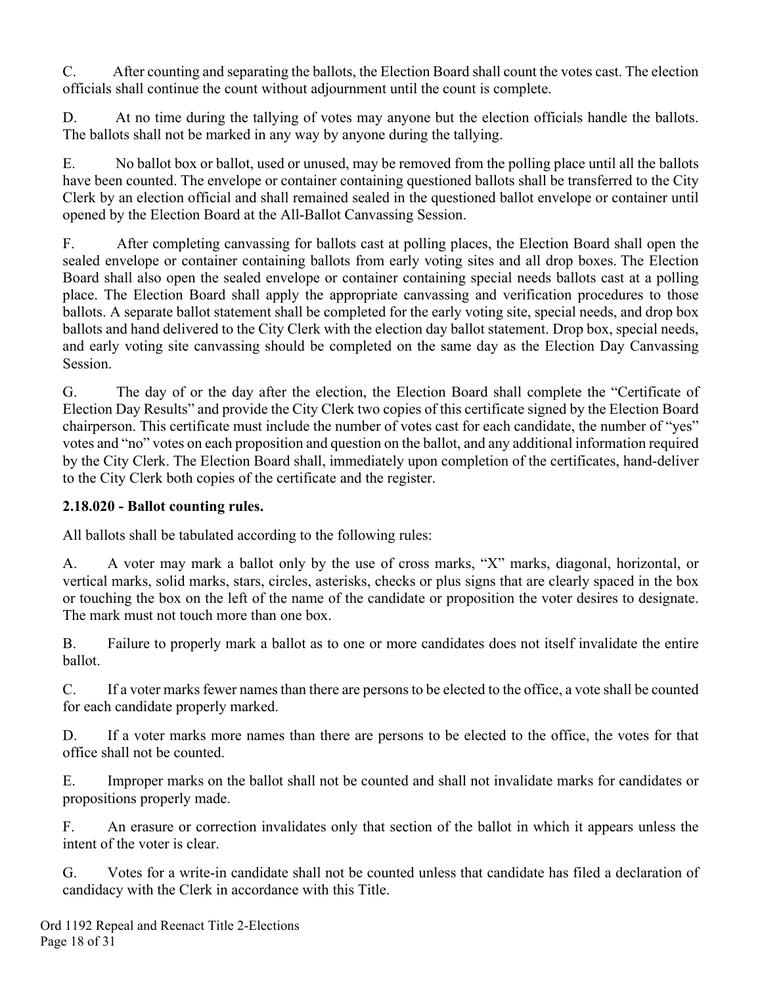C. After counting and separating the ballots, the Election Board shall count the votes cast. The election officials shall continue the count without adjournment until the count is complete.

D. At no time during the tallying of votes may anyone but the election officials handle the ballots. The ballots shall not be marked in any way by anyone during the tallying.

E. No ballot box or ballot, used or unused, may be removed from the polling place until all the ballots have been counted. The envelope or container containing questioned ballots shall be transferred to the City Clerk by an election official and shall remained sealed in the questioned ballot envelope or container until opened by the Election Board at the All-Ballot Canvassing Session.

F. After completing canvassing for ballots cast at polling places, the Election Board shall open the sealed envelope or container containing ballots from early voting sites and all drop boxes. The Election Board shall also open the sealed envelope or container containing special needs ballots cast at a polling place. The Election Board shall apply the appropriate canvassing and verification procedures to those ballots. A separate ballot statement shall be completed for the early voting site, special needs, and drop box ballots and hand delivered to the City Clerk with the election day ballot statement. Drop box, special needs, and early voting site canvassing should be completed on the same day as the Election Day Canvassing Session.

G. The day of or the day after the election, the Election Board shall complete the "Certificate of Election Day Results" and provide the City Clerk two copies of this certificate signed by the Election Board chairperson. This certificate must include the number of votes cast for each candidate, the number of "yes" votes and "no" votes on each proposition and question on the ballot, and any additional information required by the City Clerk. The Election Board shall, immediately upon completion of the certificates, hand-deliver to the City Clerk both copies of the certificate and the register.

### **2.18.020 - Ballot counting rules.**

All ballots shall be tabulated according to the following rules:

A. A voter may mark a ballot only by the use of cross marks, "X" marks, diagonal, horizontal, or vertical marks, solid marks, stars, circles, asterisks, checks or plus signs that are clearly spaced in the box or touching the box on the left of the name of the candidate or proposition the voter desires to designate. The mark must not touch more than one box.

B. Failure to properly mark a ballot as to one or more candidates does not itself invalidate the entire ballot.

C. If a voter marks fewer names than there are persons to be elected to the office, a vote shall be counted for each candidate properly marked.

D. If a voter marks more names than there are persons to be elected to the office, the votes for that office shall not be counted.

E. Improper marks on the ballot shall not be counted and shall not invalidate marks for candidates or propositions properly made.

F. An erasure or correction invalidates only that section of the ballot in which it appears unless the intent of the voter is clear.

G. Votes for a write-in candidate shall not be counted unless that candidate has filed a declaration of candidacy with the Clerk in accordance with this Title.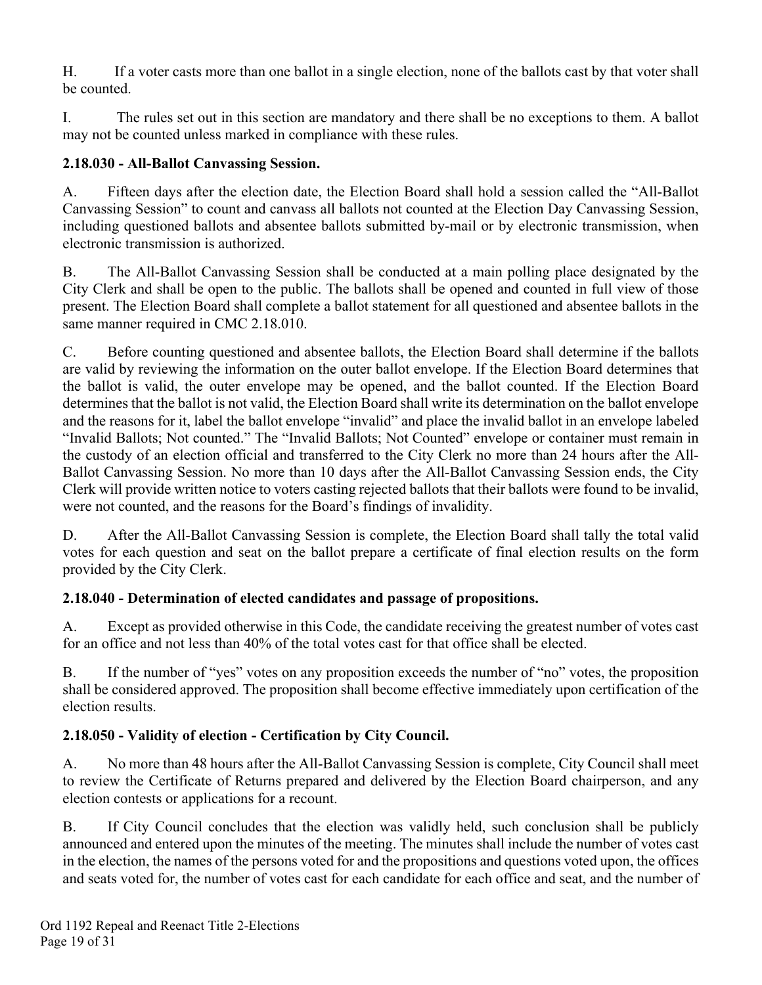H. If a voter casts more than one ballot in a single election, none of the ballots cast by that voter shall be counted.

I. The rules set out in this section are mandatory and there shall be no exceptions to them. A ballot may not be counted unless marked in compliance with these rules.

## **2.18.030 - All-Ballot Canvassing Session.**

A. Fifteen days after the election date, the Election Board shall hold a session called the "All-Ballot Canvassing Session" to count and canvass all ballots not counted at the Election Day Canvassing Session, including questioned ballots and absentee ballots submitted by-mail or by electronic transmission, when electronic transmission is authorized.

B. The All-Ballot Canvassing Session shall be conducted at a main polling place designated by the City Clerk and shall be open to the public. The ballots shall be opened and counted in full view of those present. The Election Board shall complete a ballot statement for all questioned and absentee ballots in the same manner required in CMC 2.18.010.

C. Before counting questioned and absentee ballots, the Election Board shall determine if the ballots are valid by reviewing the information on the outer ballot envelope. If the Election Board determines that the ballot is valid, the outer envelope may be opened, and the ballot counted. If the Election Board determines that the ballot is not valid, the Election Board shall write its determination on the ballot envelope and the reasons for it, label the ballot envelope "invalid" and place the invalid ballot in an envelope labeled "Invalid Ballots; Not counted." The "Invalid Ballots; Not Counted" envelope or container must remain in the custody of an election official and transferred to the City Clerk no more than 24 hours after the All-Ballot Canvassing Session. No more than 10 days after the All-Ballot Canvassing Session ends, the City Clerk will provide written notice to voters casting rejected ballots that their ballots were found to be invalid, were not counted, and the reasons for the Board's findings of invalidity.

D. After the All-Ballot Canvassing Session is complete, the Election Board shall tally the total valid votes for each question and seat on the ballot prepare a certificate of final election results on the form provided by the City Clerk.

## **2.18.040 - Determination of elected candidates and passage of propositions.**

A. Except as provided otherwise in this Code, the candidate receiving the greatest number of votes cast for an office and not less than 40% of the total votes cast for that office shall be elected.

B. If the number of "yes" votes on any proposition exceeds the number of "no" votes, the proposition shall be considered approved. The proposition shall become effective immediately upon certification of the election results.

## **2.18.050 - Validity of election - Certification by City Council.**

A. No more than 48 hours after the All-Ballot Canvassing Session is complete, City Council shall meet to review the Certificate of Returns prepared and delivered by the Election Board chairperson, and any election contests or applications for a recount.

B. If City Council concludes that the election was validly held, such conclusion shall be publicly announced and entered upon the minutes of the meeting. The minutes shall include the number of votes cast in the election, the names of the persons voted for and the propositions and questions voted upon, the offices and seats voted for, the number of votes cast for each candidate for each office and seat, and the number of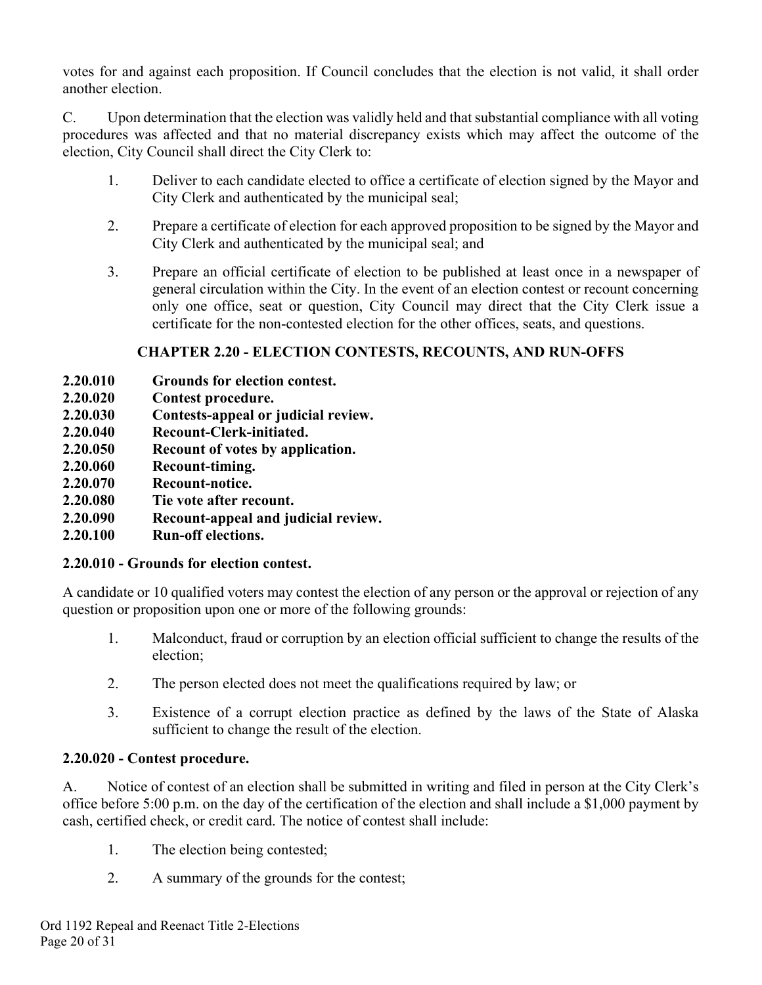votes for and against each proposition. If Council concludes that the election is not valid, it shall order another election.

C. Upon determination that the election was validly held and that substantial compliance with all voting procedures was affected and that no material discrepancy exists which may affect the outcome of the election, City Council shall direct the City Clerk to:

- 1. Deliver to each candidate elected to office a certificate of election signed by the Mayor and City Clerk and authenticated by the municipal seal;
- 2. Prepare a certificate of election for each approved proposition to be signed by the Mayor and City Clerk and authenticated by the municipal seal; and
- 3. Prepare an official certificate of election to be published at least once in a newspaper of general circulation within the City. In the event of an election contest or recount concerning only one office, seat or question, City Council may direct that the City Clerk issue a certificate for the non-contested election for the other offices, seats, and questions.

### **CHAPTER 2.20 - ELECTION CONTESTS, RECOUNTS, AND RUN-OFFS**

- **2.20.010 Grounds for election contest.**
- **2.20.020 Contest procedure.**
- **2.20.030 Contests-appeal or judicial review.**
- **2.20.040 Recount-Clerk-initiated.**
- **2.20.050 Recount of votes by application.**
- **2.20.060 Recount-timing.**
- **2.20.070 Recount-notice.**
- **2.20.080 Tie vote after recount.**
- **2.20.090 Recount-appeal and judicial review.**
- **2.20.100 Run-off elections.**

#### **2.20.010 - Grounds for election contest.**

A candidate or 10 qualified voters may contest the election of any person or the approval or rejection of any question or proposition upon one or more of the following grounds:

- 1. Malconduct, fraud or corruption by an election official sufficient to change the results of the election;
- 2. The person elected does not meet the qualifications required by law; or
- 3. Existence of a corrupt election practice as defined by the laws of the State of Alaska sufficient to change the result of the election.

### **2.20.020 - Contest procedure.**

A. Notice of contest of an election shall be submitted in writing and filed in person at the City Clerk's office before 5:00 p.m. on the day of the certification of the election and shall include a \$1,000 payment by cash, certified check, or credit card. The notice of contest shall include:

- 1. The election being contested;
- 2. A summary of the grounds for the contest;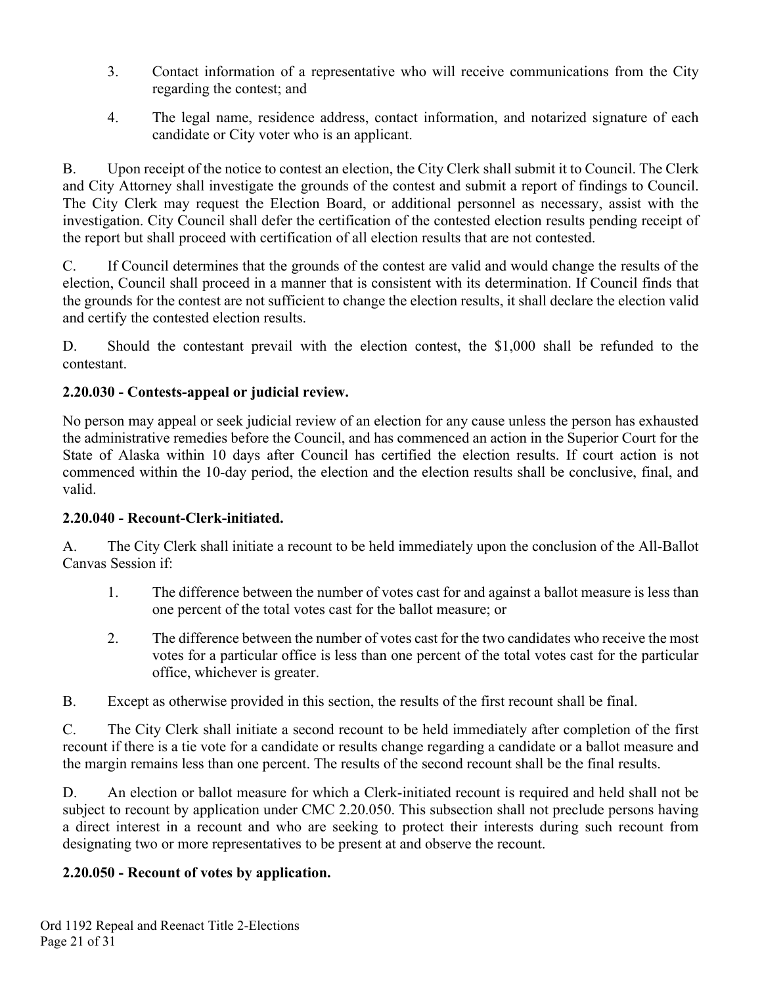- 3. Contact information of a representative who will receive communications from the City regarding the contest; and
- 4. The legal name, residence address, contact information, and notarized signature of each candidate or City voter who is an applicant.

B. Upon receipt of the notice to contest an election, the City Clerk shall submit it to Council. The Clerk and City Attorney shall investigate the grounds of the contest and submit a report of findings to Council. The City Clerk may request the Election Board, or additional personnel as necessary, assist with the investigation. City Council shall defer the certification of the contested election results pending receipt of the report but shall proceed with certification of all election results that are not contested.

C. If Council determines that the grounds of the contest are valid and would change the results of the election, Council shall proceed in a manner that is consistent with its determination. If Council finds that the grounds for the contest are not sufficient to change the election results, it shall declare the election valid and certify the contested election results.

D. Should the contestant prevail with the election contest, the \$1,000 shall be refunded to the contestant.

### **2.20.030 - Contests-appeal or judicial review.**

No person may appeal or seek judicial review of an election for any cause unless the person has exhausted the administrative remedies before the Council, and has commenced an action in the Superior Court for the State of Alaska within 10 days after Council has certified the election results. If court action is not commenced within the 10-day period, the election and the election results shall be conclusive, final, and valid.

### **2.20.040 - Recount-Clerk-initiated.**

A. The City Clerk shall initiate a recount to be held immediately upon the conclusion of the All-Ballot Canvas Session if:

- 1. The difference between the number of votes cast for and against a ballot measure is less than one percent of the total votes cast for the ballot measure; or
- 2. The difference between the number of votes cast for the two candidates who receive the most votes for a particular office is less than one percent of the total votes cast for the particular office, whichever is greater.
- B. Except as otherwise provided in this section, the results of the first recount shall be final.

C. The City Clerk shall initiate a second recount to be held immediately after completion of the first recount if there is a tie vote for a candidate or results change regarding a candidate or a ballot measure and the margin remains less than one percent. The results of the second recount shall be the final results.

D. An election or ballot measure for which a Clerk-initiated recount is required and held shall not be subject to recount by application under CMC 2.20.050. This subsection shall not preclude persons having a direct interest in a recount and who are seeking to protect their interests during such recount from designating two or more representatives to be present at and observe the recount.

### **2.20.050 - Recount of votes by application.**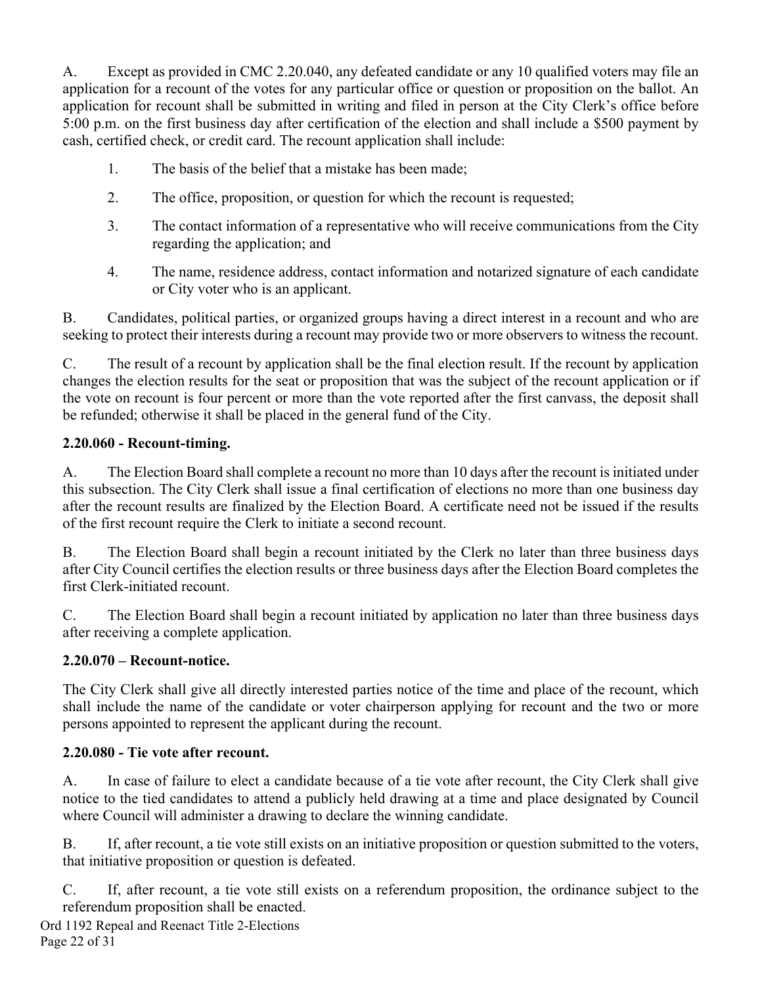A. Except as provided in CMC 2.20.040, any defeated candidate or any 10 qualified voters may file an application for a recount of the votes for any particular office or question or proposition on the ballot. An application for recount shall be submitted in writing and filed in person at the City Clerk's office before 5:00 p.m. on the first business day after certification of the election and shall include a \$500 payment by cash, certified check, or credit card. The recount application shall include:

- 1. The basis of the belief that a mistake has been made;
- 2. The office, proposition, or question for which the recount is requested;
- 3. The contact information of a representative who will receive communications from the City regarding the application; and
- 4. The name, residence address, contact information and notarized signature of each candidate or City voter who is an applicant.

B. Candidates, political parties, or organized groups having a direct interest in a recount and who are seeking to protect their interests during a recount may provide two or more observers to witness the recount.

C. The result of a recount by application shall be the final election result. If the recount by application changes the election results for the seat or proposition that was the subject of the recount application or if the vote on recount is four percent or more than the vote reported after the first canvass, the deposit shall be refunded; otherwise it shall be placed in the general fund of the City.

#### **2.20.060 - Recount-timing.**

A. The Election Board shall complete a recount no more than 10 days after the recount is initiated under this subsection. The City Clerk shall issue a final certification of elections no more than one business day after the recount results are finalized by the Election Board. A certificate need not be issued if the results of the first recount require the Clerk to initiate a second recount.

B. The Election Board shall begin a recount initiated by the Clerk no later than three business days after City Council certifies the election results or three business days after the Election Board completes the first Clerk-initiated recount.

C. The Election Board shall begin a recount initiated by application no later than three business days after receiving a complete application.

#### **2.20.070 – Recount-notice.**

The City Clerk shall give all directly interested parties notice of the time and place of the recount, which shall include the name of the candidate or voter chairperson applying for recount and the two or more persons appointed to represent the applicant during the recount.

#### **2.20.080 - Tie vote after recount.**

A. In case of failure to elect a candidate because of a tie vote after recount, the City Clerk shall give notice to the tied candidates to attend a publicly held drawing at a time and place designated by Council where Council will administer a drawing to declare the winning candidate.

B. If, after recount, a tie vote still exists on an initiative proposition or question submitted to the voters, that initiative proposition or question is defeated.

C. If, after recount, a tie vote still exists on a referendum proposition, the ordinance subject to the referendum proposition shall be enacted.

Ord 1192 Repeal and Reenact Title 2-Elections Page 22 of 31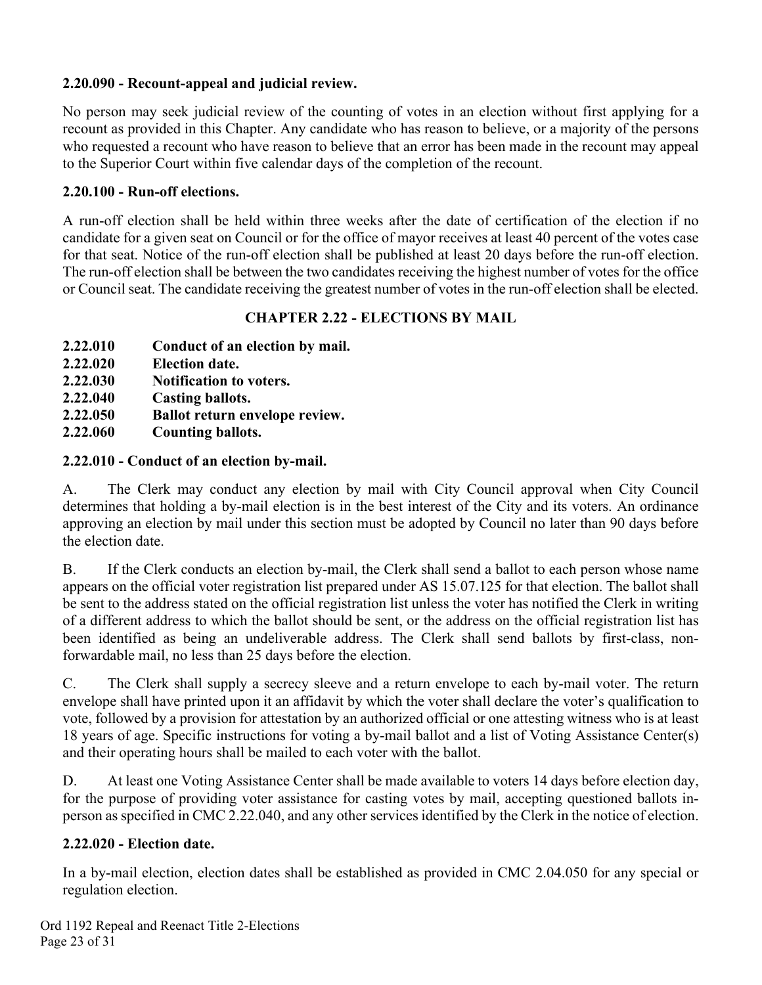#### **2.20.090 - Recount-appeal and judicial review.**

No person may seek judicial review of the counting of votes in an election without first applying for a recount as provided in this Chapter. Any candidate who has reason to believe, or a majority of the persons who requested a recount who have reason to believe that an error has been made in the recount may appeal to the Superior Court within five calendar days of the completion of the recount.

#### **2.20.100 - Run-off elections.**

A run-off election shall be held within three weeks after the date of certification of the election if no candidate for a given seat on Council or for the office of mayor receives at least 40 percent of the votes case for that seat. Notice of the run-off election shall be published at least 20 days before the run-off election. The run-off election shall be between the two candidates receiving the highest number of votes for the office or Council seat. The candidate receiving the greatest number of votes in the run-off election shall be elected.

### **CHAPTER 2.22 - ELECTIONS BY MAIL**

- **2.22.010 Conduct of an election by mail.**
- **2.22.020 Election date.**
- **2.22.030 Notification to voters.**
- **2.22.040 Casting ballots.**
- **2.22.050 Ballot return envelope review.**
- **2.22.060 Counting ballots.**

### **2.22.010 - Conduct of an election by-mail.**

A. The Clerk may conduct any election by mail with City Council approval when City Council determines that holding a by-mail election is in the best interest of the City and its voters. An ordinance approving an election by mail under this section must be adopted by Council no later than 90 days before the election date.

B. If the Clerk conducts an election by-mail, the Clerk shall send a ballot to each person whose name appears on the official voter registration list prepared under AS 15.07.125 for that election. The ballot shall be sent to the address stated on the official registration list unless the voter has notified the Clerk in writing of a different address to which the ballot should be sent, or the address on the official registration list has been identified as being an undeliverable address. The Clerk shall send ballots by first-class, nonforwardable mail, no less than 25 days before the election.

C. The Clerk shall supply a secrecy sleeve and a return envelope to each by-mail voter. The return envelope shall have printed upon it an affidavit by which the voter shall declare the voter's qualification to vote, followed by a provision for attestation by an authorized official or one attesting witness who is at least 18 years of age. Specific instructions for voting a by-mail ballot and a list of Voting Assistance Center(s) and their operating hours shall be mailed to each voter with the ballot.

D. At least one Voting Assistance Center shall be made available to voters 14 days before election day, for the purpose of providing voter assistance for casting votes by mail, accepting questioned ballots inperson as specified in CMC 2.22.040, and any other services identified by the Clerk in the notice of election.

### **2.22.020 - Election date.**

In a by-mail election, election dates shall be established as provided in CMC 2.04.050 for any special or regulation election.

Ord 1192 Repeal and Reenact Title 2-Elections Page 23 of 31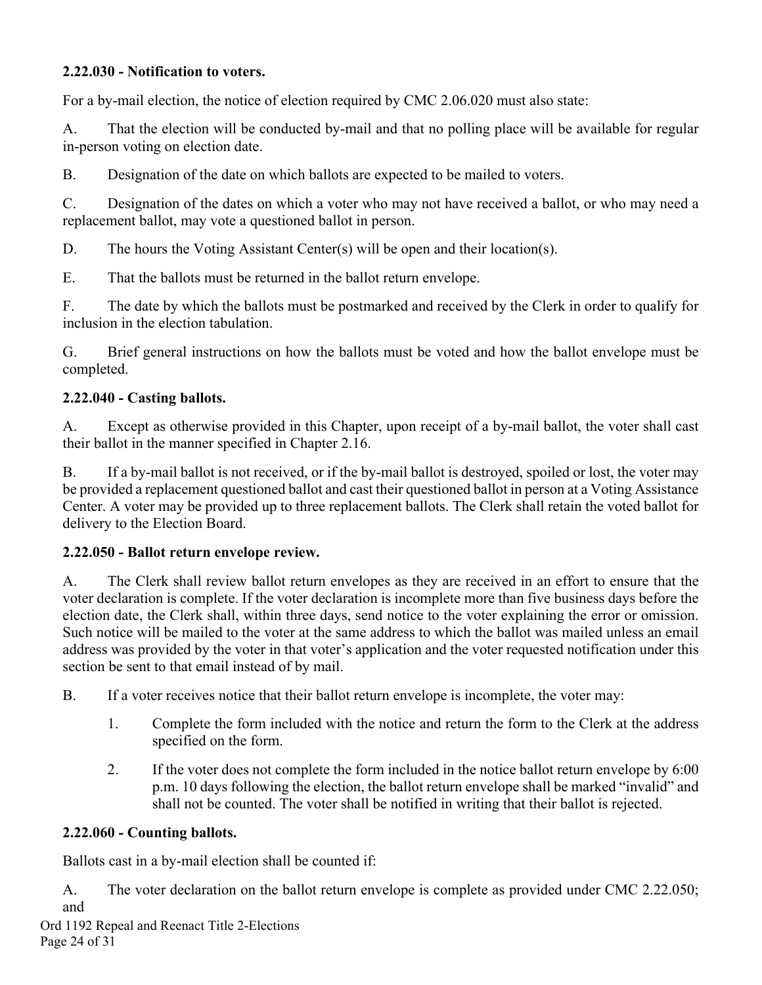#### **2.22.030 - Notification to voters.**

For a by-mail election, the notice of election required by CMC 2.06.020 must also state:

A. That the election will be conducted by-mail and that no polling place will be available for regular in-person voting on election date.

B. Designation of the date on which ballots are expected to be mailed to voters.

C. Designation of the dates on which a voter who may not have received a ballot, or who may need a replacement ballot, may vote a questioned ballot in person.

D. The hours the Voting Assistant Center(s) will be open and their location(s).

E. That the ballots must be returned in the ballot return envelope.

F. The date by which the ballots must be postmarked and received by the Clerk in order to qualify for inclusion in the election tabulation.

G. Brief general instructions on how the ballots must be voted and how the ballot envelope must be completed.

#### **2.22.040 - Casting ballots.**

A. Except as otherwise provided in this Chapter, upon receipt of a by-mail ballot, the voter shall cast their ballot in the manner specified in Chapter 2.16.

B. If a by-mail ballot is not received, or if the by-mail ballot is destroyed, spoiled or lost, the voter may be provided a replacement questioned ballot and cast their questioned ballot in person at a Voting Assistance Center. A voter may be provided up to three replacement ballots. The Clerk shall retain the voted ballot for delivery to the Election Board.

#### **2.22.050 - Ballot return envelope review.**

A. The Clerk shall review ballot return envelopes as they are received in an effort to ensure that the voter declaration is complete. If the voter declaration is incomplete more than five business days before the election date, the Clerk shall, within three days, send notice to the voter explaining the error or omission. Such notice will be mailed to the voter at the same address to which the ballot was mailed unless an email address was provided by the voter in that voter's application and the voter requested notification under this section be sent to that email instead of by mail.

B. If a voter receives notice that their ballot return envelope is incomplete, the voter may:

- 1. Complete the form included with the notice and return the form to the Clerk at the address specified on the form.
- 2. If the voter does not complete the form included in the notice ballot return envelope by 6:00 p.m. 10 days following the election, the ballot return envelope shall be marked "invalid" and shall not be counted. The voter shall be notified in writing that their ballot is rejected.

### **2.22.060 - Counting ballots.**

Ballots cast in a by-mail election shall be counted if:

A. The voter declaration on the ballot return envelope is complete as provided under CMC 2.22.050; and

Ord 1192 Repeal and Reenact Title 2-Elections Page 24 of 31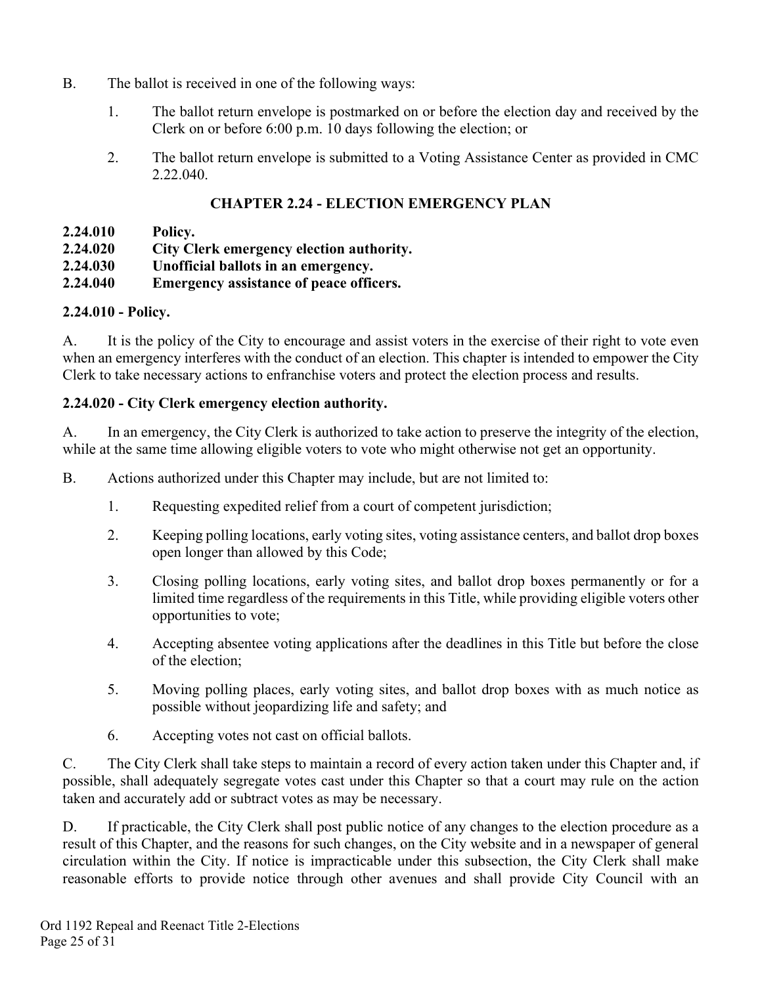- B. The ballot is received in one of the following ways:
	- 1. The ballot return envelope is postmarked on or before the election day and received by the Clerk on or before 6:00 p.m. 10 days following the election; or
	- 2. The ballot return envelope is submitted to a Voting Assistance Center as provided in CMC 2.22.040.

## **CHAPTER 2.24 - ELECTION EMERGENCY PLAN**

- **2.24.010 Policy.**
- **2.24.020 City Clerk emergency election authority.**
- **2.24.030 Unofficial ballots in an emergency.**
- **2.24.040 Emergency assistance of peace officers.**

### **2.24.010 - Policy.**

A. It is the policy of the City to encourage and assist voters in the exercise of their right to vote even when an emergency interferes with the conduct of an election. This chapter is intended to empower the City Clerk to take necessary actions to enfranchise voters and protect the election process and results.

### **2.24.020 - City Clerk emergency election authority.**

A. In an emergency, the City Clerk is authorized to take action to preserve the integrity of the election, while at the same time allowing eligible voters to vote who might otherwise not get an opportunity.

B. Actions authorized under this Chapter may include, but are not limited to:

- 1. Requesting expedited relief from a court of competent jurisdiction;
- 2. Keeping polling locations, early voting sites, voting assistance centers, and ballot drop boxes open longer than allowed by this Code;
- 3. Closing polling locations, early voting sites, and ballot drop boxes permanently or for a limited time regardless of the requirements in this Title, while providing eligible voters other opportunities to vote;
- 4. Accepting absentee voting applications after the deadlines in this Title but before the close of the election;
- 5. Moving polling places, early voting sites, and ballot drop boxes with as much notice as possible without jeopardizing life and safety; and
- 6. Accepting votes not cast on official ballots.

C. The City Clerk shall take steps to maintain a record of every action taken under this Chapter and, if possible, shall adequately segregate votes cast under this Chapter so that a court may rule on the action taken and accurately add or subtract votes as may be necessary.

D. If practicable, the City Clerk shall post public notice of any changes to the election procedure as a result of this Chapter, and the reasons for such changes, on the City website and in a newspaper of general circulation within the City. If notice is impracticable under this subsection, the City Clerk shall make reasonable efforts to provide notice through other avenues and shall provide City Council with an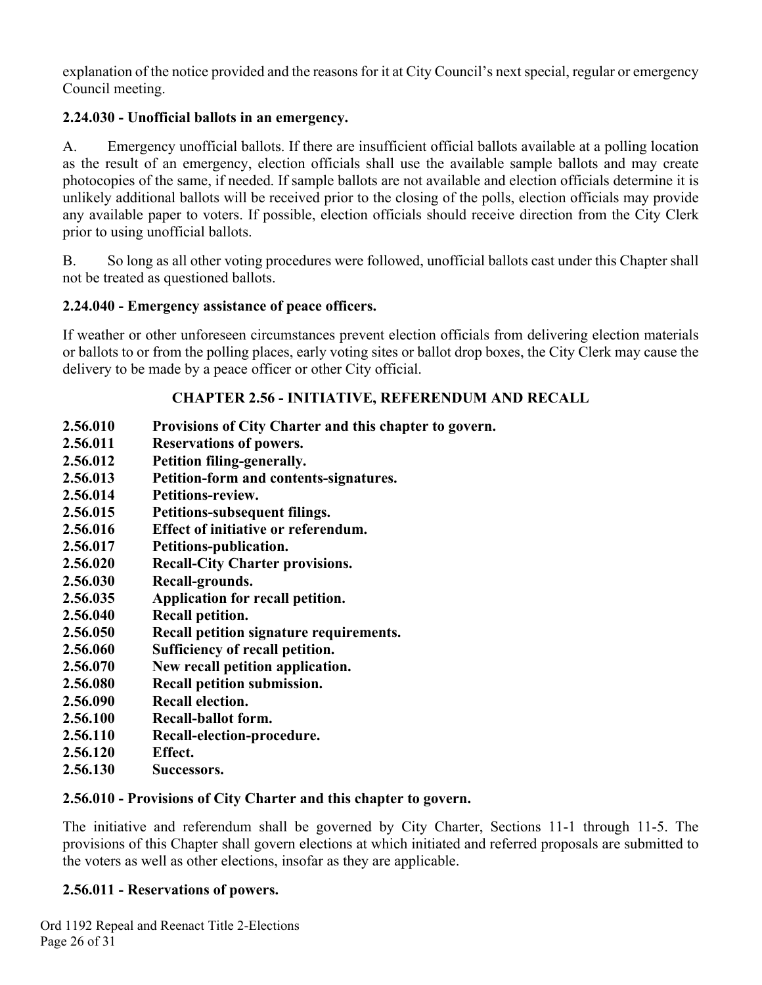explanation of the notice provided and the reasons for it at City Council's next special, regular or emergency Council meeting.

### **2.24.030 - Unofficial ballots in an emergency.**

A. Emergency unofficial ballots. If there are insufficient official ballots available at a polling location as the result of an emergency, election officials shall use the available sample ballots and may create photocopies of the same, if needed. If sample ballots are not available and election officials determine it is unlikely additional ballots will be received prior to the closing of the polls, election officials may provide any available paper to voters. If possible, election officials should receive direction from the City Clerk prior to using unofficial ballots.

B. So long as all other voting procedures were followed, unofficial ballots cast under this Chapter shall not be treated as questioned ballots.

### **2.24.040 - Emergency assistance of peace officers.**

If weather or other unforeseen circumstances prevent election officials from delivering election materials or ballots to or from the polling places, early voting sites or ballot drop boxes, the City Clerk may cause the delivery to be made by a peace officer or other City official.

### **CHAPTER 2.56 - INITIATIVE, REFERENDUM AND RECALL**

- **2.56.010 Provisions of City Charter and this chapter to govern.**
- **2.56.011 Reservations of powers.**
- **2.56.012 Petition filing-generally.**
- **2.56.013 Petition-form and contents-signatures.**
- **2.56.014 Petitions-review.**
- **2.56.015 Petitions-subsequent filings.**
- **2.56.016 Effect of initiative or referendum.**
- **2.56.017 Petitions-publication.**
- **2.56.020 Recall-City Charter provisions.**
- **2.56.030 Recall-grounds.**
- **2.56.035 Application for recall petition.**
- **2.56.040 Recall petition.**
- **2.56.050 Recall petition signature requirements.**
- **2.56.060 Sufficiency of recall petition.**
- **2.56.070 New recall petition application.**
- **2.56.080 Recall petition submission.**
- **2.56.090 Recall election.**
- **2.56.100 Recall-ballot form.**
- **2.56.110 Recall-election-procedure.**
- **2.56.120 Effect.**
- **2.56.130 Successors.**

### **2.56.010 - Provisions of City Charter and this chapter to govern.**

The initiative and referendum shall be governed by City Charter, Sections 11-1 through 11-5. The provisions of this Chapter shall govern elections at which initiated and referred proposals are submitted to the voters as well as other elections, insofar as they are applicable.

### **2.56.011 - Reservations of powers.**

Ord 1192 Repeal and Reenact Title 2-Elections Page 26 of 31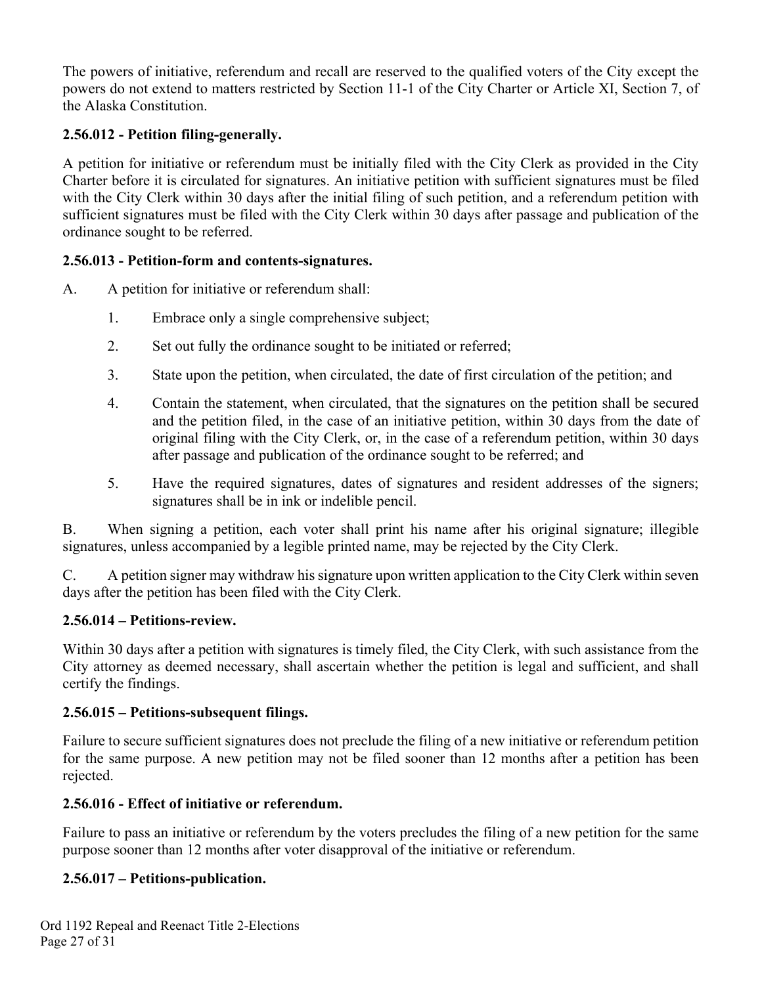The powers of initiative, referendum and recall are reserved to the qualified voters of the City except the powers do not extend to matters restricted by Section 11-1 of the City Charter or Article XI, Section 7, of the Alaska Constitution.

### **2.56.012 - Petition filing-generally.**

A petition for initiative or referendum must be initially filed with the City Clerk as provided in the City Charter before it is circulated for signatures. An initiative petition with sufficient signatures must be filed with the City Clerk within 30 days after the initial filing of such petition, and a referendum petition with sufficient signatures must be filed with the City Clerk within 30 days after passage and publication of the ordinance sought to be referred.

#### **2.56.013 - Petition-form and contents-signatures.**

- A. A petition for initiative or referendum shall:
	- 1. Embrace only a single comprehensive subject;
	- 2. Set out fully the ordinance sought to be initiated or referred;
	- 3. State upon the petition, when circulated, the date of first circulation of the petition; and
	- 4. Contain the statement, when circulated, that the signatures on the petition shall be secured and the petition filed, in the case of an initiative petition, within 30 days from the date of original filing with the City Clerk, or, in the case of a referendum petition, within 30 days after passage and publication of the ordinance sought to be referred; and
	- 5. Have the required signatures, dates of signatures and resident addresses of the signers; signatures shall be in ink or indelible pencil.

B. When signing a petition, each voter shall print his name after his original signature; illegible signatures, unless accompanied by a legible printed name, may be rejected by the City Clerk.

C. A petition signer may withdraw his signature upon written application to the City Clerk within seven days after the petition has been filed with the City Clerk.

#### **2.56.014 – Petitions-review.**

Within 30 days after a petition with signatures is timely filed, the City Clerk, with such assistance from the City attorney as deemed necessary, shall ascertain whether the petition is legal and sufficient, and shall certify the findings.

#### **2.56.015 – Petitions-subsequent filings.**

Failure to secure sufficient signatures does not preclude the filing of a new initiative or referendum petition for the same purpose. A new petition may not be filed sooner than 12 months after a petition has been rejected.

#### **2.56.016 - Effect of initiative or referendum.**

Failure to pass an initiative or referendum by the voters precludes the filing of a new petition for the same purpose sooner than 12 months after voter disapproval of the initiative or referendum.

#### **2.56.017 – Petitions-publication.**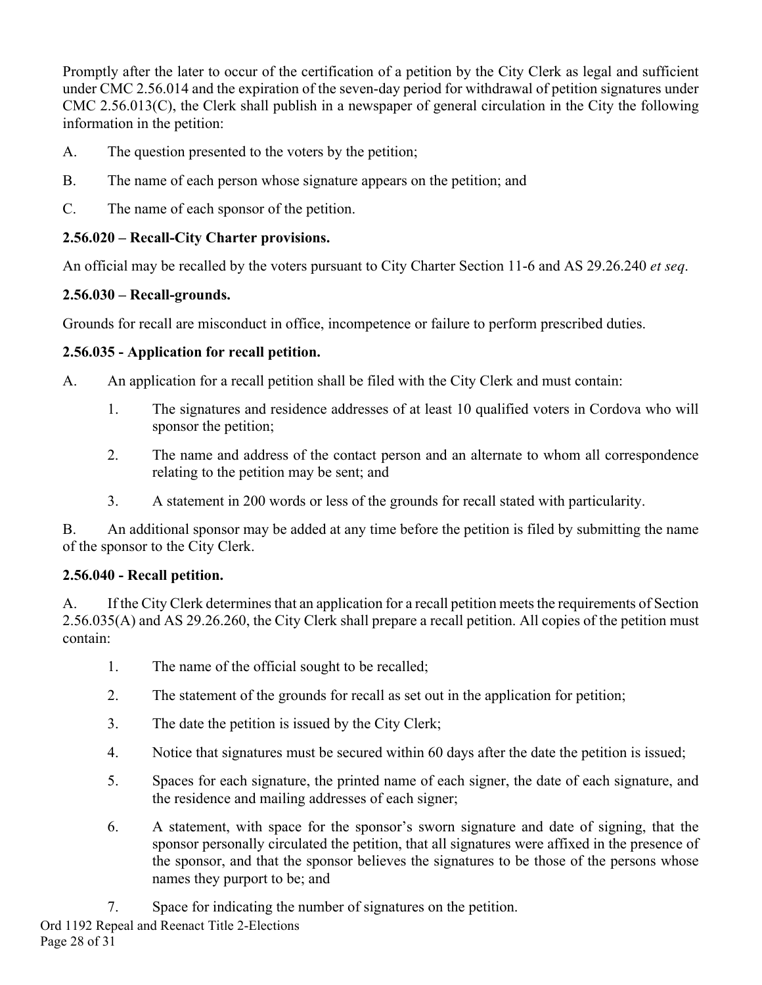Promptly after the later to occur of the certification of a petition by the City Clerk as legal and sufficient under CMC 2.56.014 and the expiration of the seven-day period for withdrawal of petition signatures under CMC 2.56.013(C), the Clerk shall publish in a newspaper of general circulation in the City the following information in the petition:

- A. The question presented to the voters by the petition;
- B. The name of each person whose signature appears on the petition; and
- C. The name of each sponsor of the petition.

### **2.56.020 – Recall-City Charter provisions.**

An official may be recalled by the voters pursuant to City Charter Section 11-6 and AS 29.26.240 *et seq*.

### **2.56.030 – Recall-grounds.**

Grounds for recall are misconduct in office, incompetence or failure to perform prescribed duties.

### **2.56.035 - Application for recall petition.**

A. An application for a recall petition shall be filed with the City Clerk and must contain:

- 1. The signatures and residence addresses of at least 10 qualified voters in Cordova who will sponsor the petition;
- 2. The name and address of the contact person and an alternate to whom all correspondence relating to the petition may be sent; and
- 3. A statement in 200 words or less of the grounds for recall stated with particularity.

B. An additional sponsor may be added at any time before the petition is filed by submitting the name of the sponsor to the City Clerk.

### **2.56.040 - Recall petition.**

A. If the City Clerk determines that an application for a recall petition meets the requirements of Section 2.56.035(A) and AS 29.26.260, the City Clerk shall prepare a recall petition. All copies of the petition must contain:

- 1. The name of the official sought to be recalled;
- 2. The statement of the grounds for recall as set out in the application for petition;
- 3. The date the petition is issued by the City Clerk;
- 4. Notice that signatures must be secured within 60 days after the date the petition is issued;
- 5. Spaces for each signature, the printed name of each signer, the date of each signature, and the residence and mailing addresses of each signer;
- 6. A statement, with space for the sponsor's sworn signature and date of signing, that the sponsor personally circulated the petition, that all signatures were affixed in the presence of the sponsor, and that the sponsor believes the signatures to be those of the persons whose names they purport to be; and
- 7. Space for indicating the number of signatures on the petition.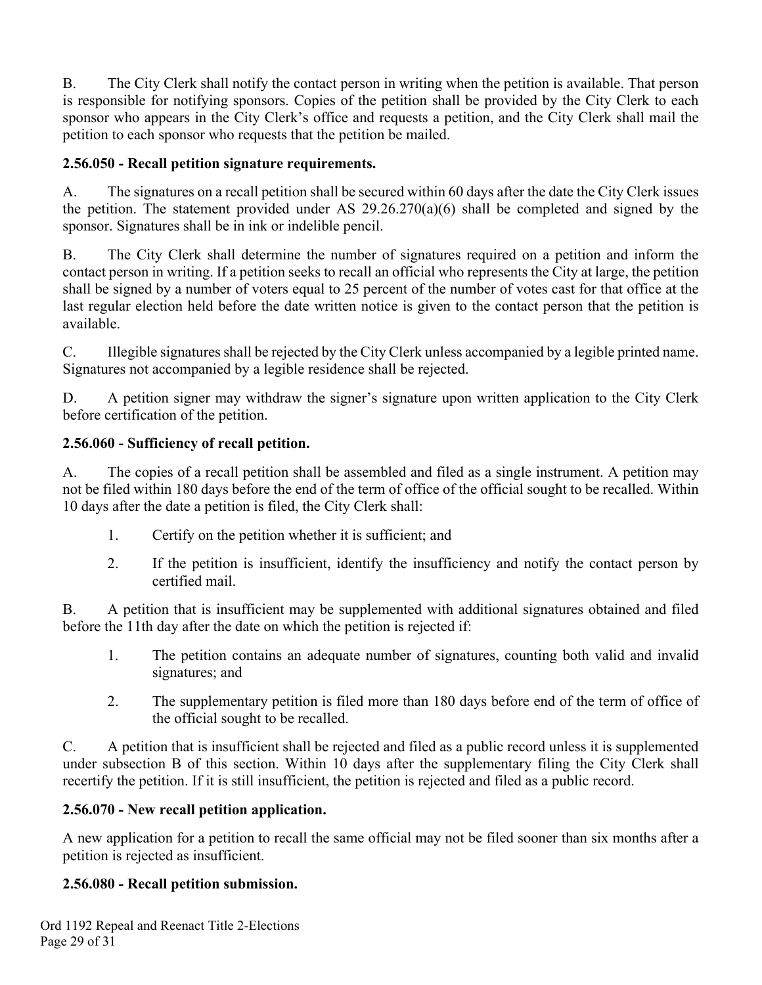B. The City Clerk shall notify the contact person in writing when the petition is available. That person is responsible for notifying sponsors. Copies of the petition shall be provided by the City Clerk to each sponsor who appears in the City Clerk's office and requests a petition, and the City Clerk shall mail the petition to each sponsor who requests that the petition be mailed.

### **2.56.050 - Recall petition signature requirements.**

A. The signatures on a recall petition shall be secured within 60 days after the date the City Clerk issues the petition. The statement provided under AS 29.26.270(a)(6) shall be completed and signed by the sponsor. Signatures shall be in ink or indelible pencil.

B. The City Clerk shall determine the number of signatures required on a petition and inform the contact person in writing. If a petition seeks to recall an official who represents the City at large, the petition shall be signed by a number of voters equal to 25 percent of the number of votes cast for that office at the last regular election held before the date written notice is given to the contact person that the petition is available.

C. Illegible signatures shall be rejected by the City Clerk unless accompanied by a legible printed name. Signatures not accompanied by a legible residence shall be rejected.

D. A petition signer may withdraw the signer's signature upon written application to the City Clerk before certification of the petition.

### **2.56.060 - Sufficiency of recall petition.**

A. The copies of a recall petition shall be assembled and filed as a single instrument. A petition may not be filed within 180 days before the end of the term of office of the official sought to be recalled. Within 10 days after the date a petition is filed, the City Clerk shall:

- 1. Certify on the petition whether it is sufficient; and
- 2. If the petition is insufficient, identify the insufficiency and notify the contact person by certified mail.

B. A petition that is insufficient may be supplemented with additional signatures obtained and filed before the 11th day after the date on which the petition is rejected if:

- 1. The petition contains an adequate number of signatures, counting both valid and invalid signatures; and
- 2. The supplementary petition is filed more than 180 days before end of the term of office of the official sought to be recalled.

C. A petition that is insufficient shall be rejected and filed as a public record unless it is supplemented under subsection B of this section. Within 10 days after the supplementary filing the City Clerk shall recertify the petition. If it is still insufficient, the petition is rejected and filed as a public record.

### **2.56.070 - New recall petition application.**

A new application for a petition to recall the same official may not be filed sooner than six months after a petition is rejected as insufficient.

## **2.56.080 - Recall petition submission.**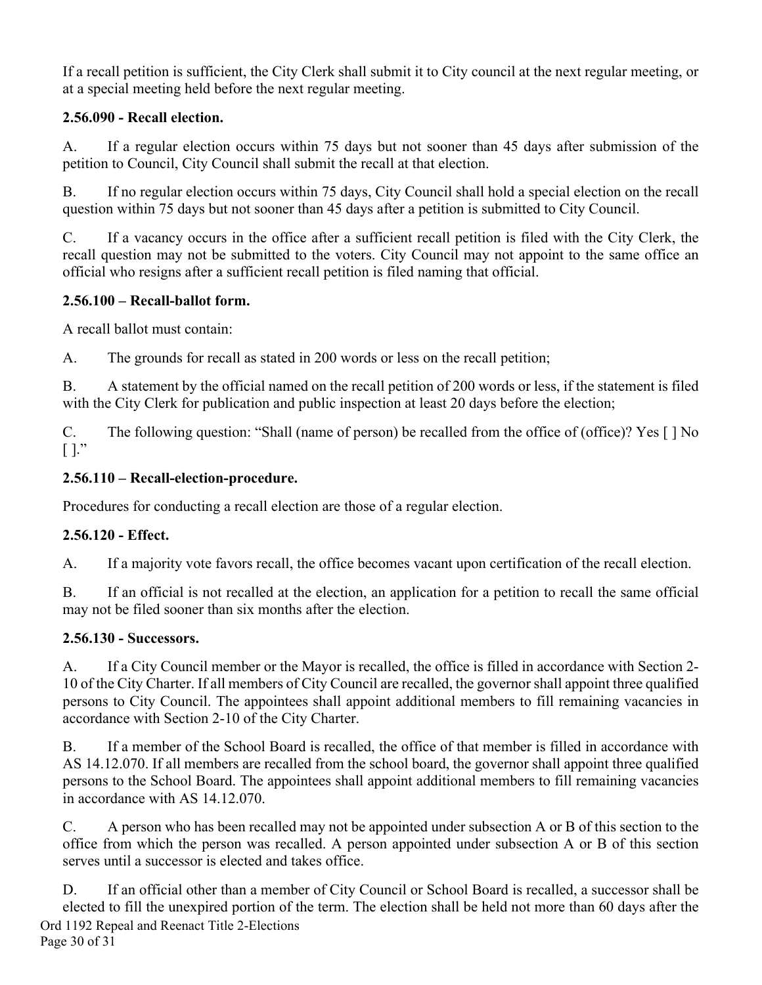If a recall petition is sufficient, the City Clerk shall submit it to City council at the next regular meeting, or at a special meeting held before the next regular meeting.

## **2.56.090 - Recall election.**

A. If a regular election occurs within 75 days but not sooner than 45 days after submission of the petition to Council, City Council shall submit the recall at that election.

B. If no regular election occurs within 75 days, City Council shall hold a special election on the recall question within 75 days but not sooner than 45 days after a petition is submitted to City Council.

C. If a vacancy occurs in the office after a sufficient recall petition is filed with the City Clerk, the recall question may not be submitted to the voters. City Council may not appoint to the same office an official who resigns after a sufficient recall petition is filed naming that official.

### **2.56.100 – Recall-ballot form.**

A recall ballot must contain:

A. The grounds for recall as stated in 200 words or less on the recall petition;

B. A statement by the official named on the recall petition of 200 words or less, if the statement is filed with the City Clerk for publication and public inspection at least 20 days before the election;

C. The following question: "Shall (name of person) be recalled from the office of (office)? Yes [ ] No [ ]."

## **2.56.110 – Recall-election-procedure.**

Procedures for conducting a recall election are those of a regular election.

## **2.56.120 - Effect.**

A. If a majority vote favors recall, the office becomes vacant upon certification of the recall election.

B. If an official is not recalled at the election, an application for a petition to recall the same official may not be filed sooner than six months after the election.

## **2.56.130 - Successors.**

A. If a City Council member or the Mayor is recalled, the office is filled in accordance with Section 2- 10 of the City Charter. If all members of City Council are recalled, the governor shall appoint three qualified persons to City Council. The appointees shall appoint additional members to fill remaining vacancies in accordance with Section 2-10 of the City Charter.

B. If a member of the School Board is recalled, the office of that member is filled in accordance with AS 14.12.070. If all members are recalled from the school board, the governor shall appoint three qualified persons to the School Board. The appointees shall appoint additional members to fill remaining vacancies in accordance with AS 14.12.070.

C. A person who has been recalled may not be appointed under subsection A or B of this section to the office from which the person was recalled. A person appointed under subsection A or B of this section serves until a successor is elected and takes office.

Ord 1192 Repeal and Reenact Title 2-Elections Page 30 of 31 D. If an official other than a member of City Council or School Board is recalled, a successor shall be elected to fill the unexpired portion of the term. The election shall be held not more than 60 days after the